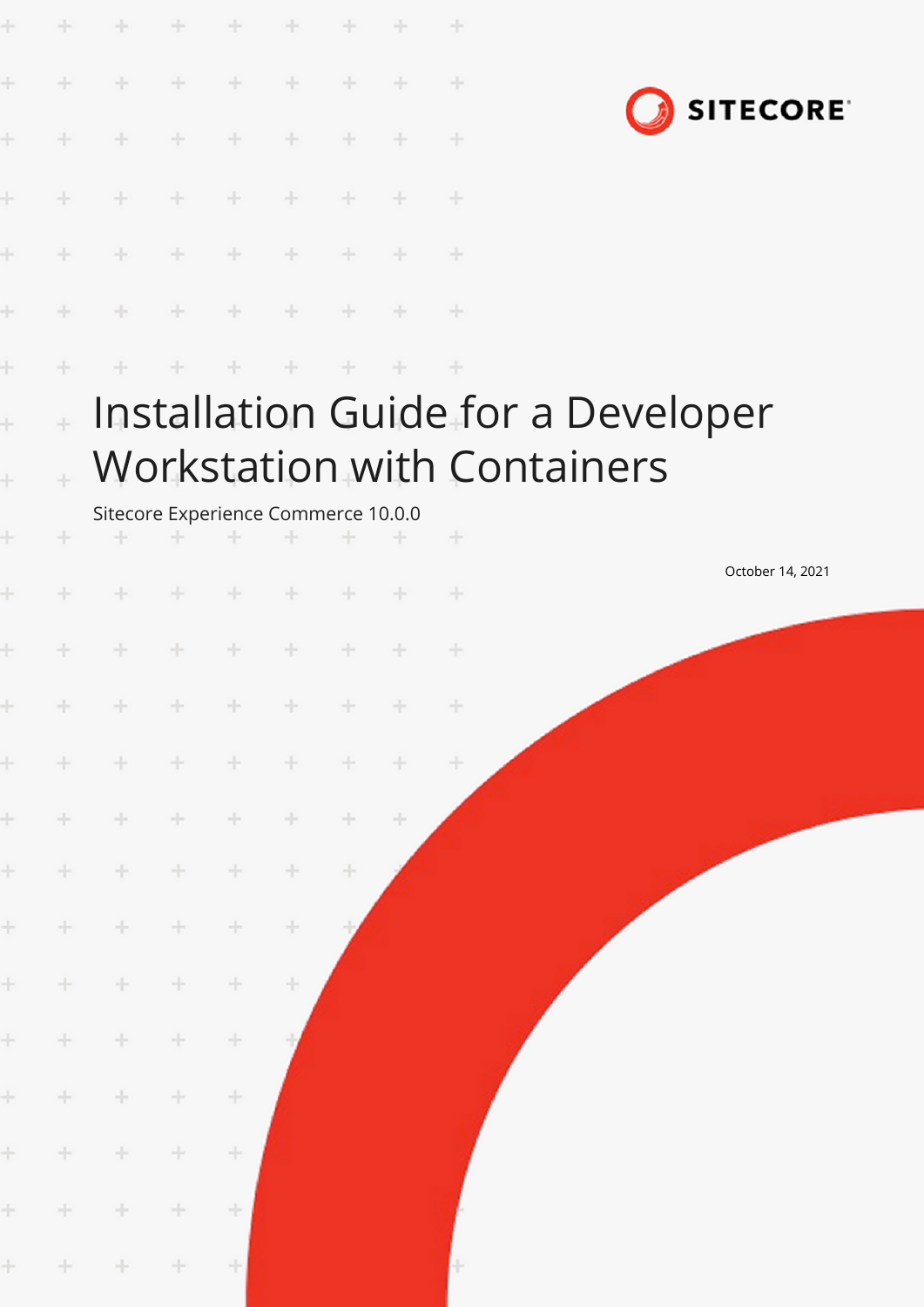| ÷                      | ÷      | ÷                                        | ÷     | $\div$  | $+$           | $\rightarrow$ |     | $\frac{1}{2}$ |                                                                          |                 |                  |  |
|------------------------|--------|------------------------------------------|-------|---------|---------------|---------------|-----|---------------|--------------------------------------------------------------------------|-----------------|------------------|--|
| ÷                      | ÷      | $+$                                      | $\pm$ | $+$     | $\rightarrow$ | $+$           | ÷   | $\pm$         |                                                                          |                 |                  |  |
| Ł                      | ÷      | ÷                                        | $+$   | ÷       | $+$           | ÷             | ÷   | $\pm$         |                                                                          | <b>SITECORE</b> |                  |  |
| ł                      | ÷.     | $+$                                      | $+$   | ÷       | $+$           |               |     | $+$           |                                                                          |                 |                  |  |
| ÷                      |        | $\pm$                                    | $+$   | ÷       | $+$           | ÷             |     | $+$           |                                                                          |                 |                  |  |
| ÷                      | ÷      | ÷                                        | $+$   | $+$     | $+$           | ÷.            | $+$ | $\rightarrow$ |                                                                          |                 |                  |  |
| ÷                      | ÷      | ÷                                        | ÷     |         | ÷             | ÷             | ÷   | $\pm$         |                                                                          |                 |                  |  |
| $\ddot{}$<br>$\ddot{}$ | ÷      |                                          |       |         |               |               |     |               | Installation Guide for a Developer<br><b>Workstation with Containers</b> |                 |                  |  |
| ÷                      | ÷      | Sitecore Experience Commerce 10.0.0<br>÷ | ÷.    | ÷       |               |               |     | $+$           |                                                                          |                 |                  |  |
| ł                      | ÷      | ÷                                        | ÷.    | ÷       | $+$           | ÷.            | $+$ | $+$           |                                                                          |                 | October 14, 2021 |  |
| ÷                      |        |                                          | ÷.    | $+$     | ÷             | ÷             | ÷   | $\pm$         |                                                                          |                 |                  |  |
| ÷.                     | $+$    | $\qquad \qquad +\qquad \qquad +$         |       | $+$     | $+$           | $+$           | $+$ | $\rightarrow$ |                                                                          |                 |                  |  |
| $\pm$                  | $+$    | $+ - +$                                  |       | $\pm$   | $+$           | $+$           | ÷   | 十             |                                                                          |                 |                  |  |
| $\pm$                  | $+$    | $+$                                      | $+$   | $\div$  | $\div$        | ÷.            | ÷   |               |                                                                          |                 |                  |  |
| $\pm$                  | $+$    | $+$                                      | $+$   | ÷       | ÷             | ÷             |     |               |                                                                          |                 |                  |  |
| $\pm$                  | $\div$ | $+$                                      | $\pm$ | ÷       | ÷             |               |     |               |                                                                          |                 |                  |  |
| $\pm$                  | $\pm$  | ÷                                        | $\pm$ | ÷       | ÷             |               |     |               |                                                                          |                 |                  |  |
| $\pm$                  | $\div$ | $\pm$                                    | ÷     | $\!+\!$ |               |               |     |               |                                                                          |                 |                  |  |
| $\pm$                  | $\div$ | $\pm$                                    | ÷     | $\div$  |               |               |     |               |                                                                          |                 |                  |  |
| $\pm$                  | $\pm$  | ÷.                                       | ÷     | ÷       |               |               |     |               |                                                                          |                 |                  |  |
| $\pm$                  | $+$    | $\pm$                                    | $\pm$ | ÷       |               |               |     |               |                                                                          |                 |                  |  |
| $\pm$                  | $\div$ | $+$                                      | $\pm$ | $\pm$   |               |               |     | H             |                                                                          |                 |                  |  |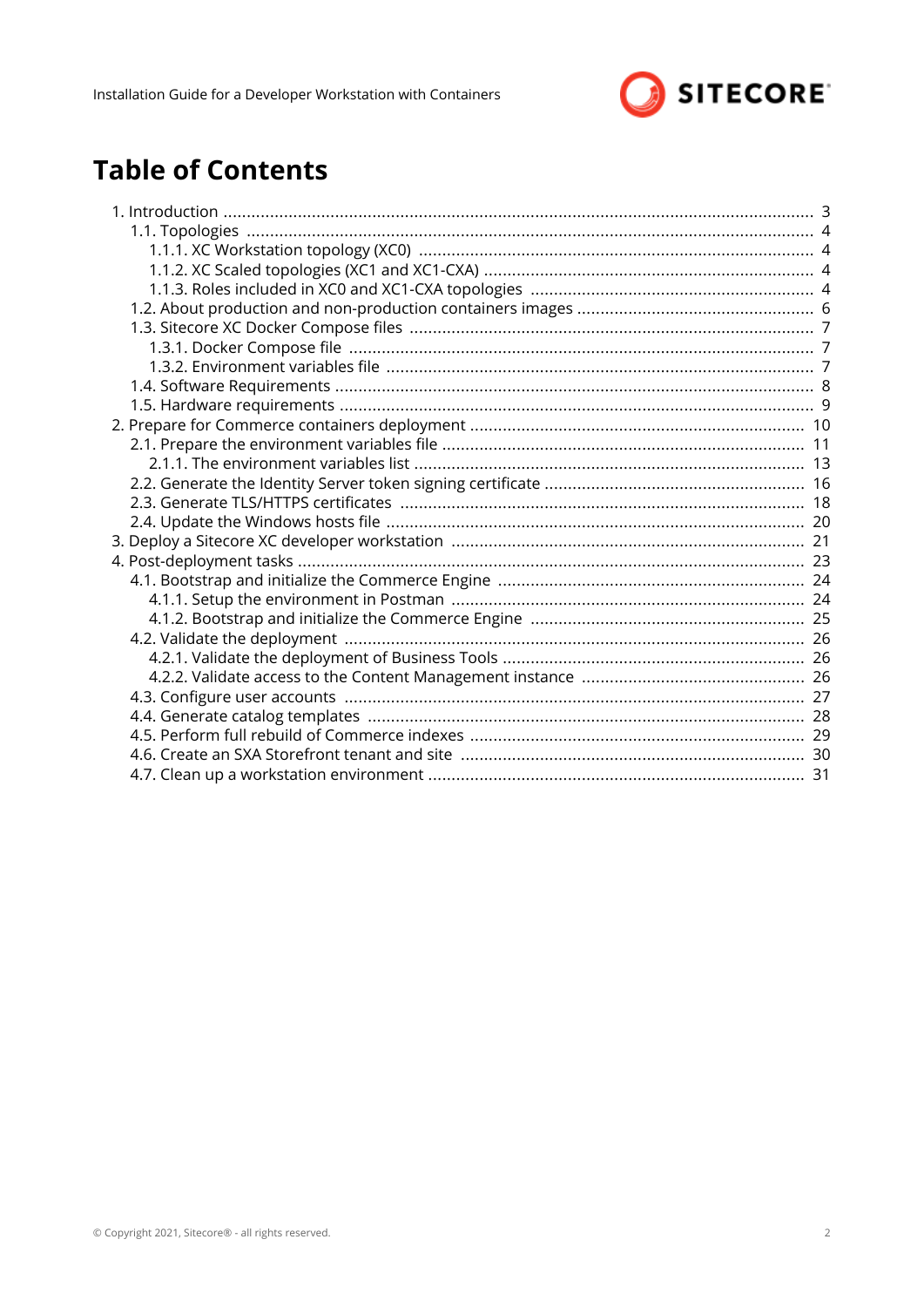

# **Table of Contents**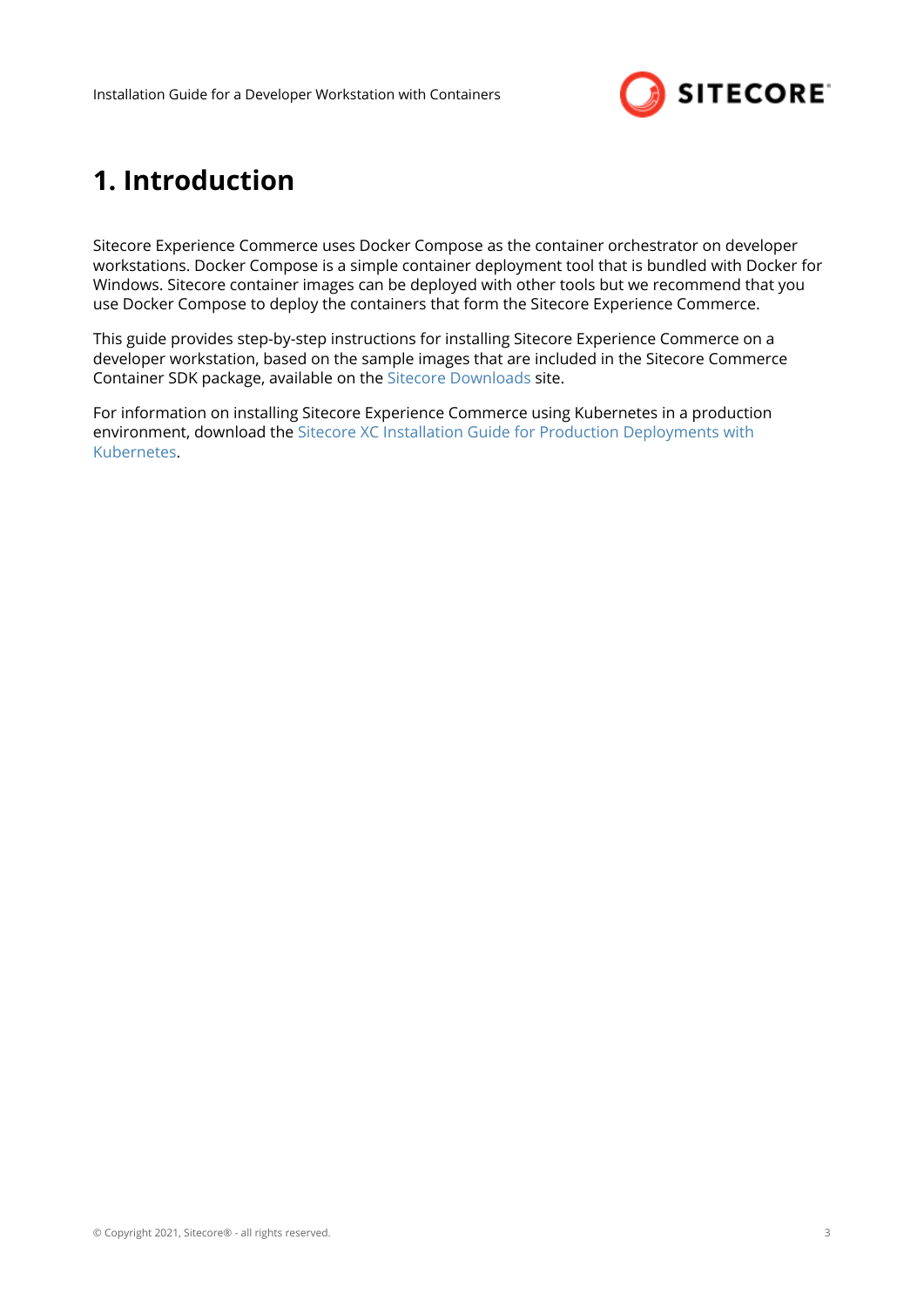

# <span id="page-2-0"></span>**1. Introduction**

Sitecore Experience Commerce uses Docker Compose as the container orchestrator on developer workstations. Docker Compose is a simple container deployment tool that is bundled with Docker for Windows. Sitecore container images can be deployed with other tools but we recommend that you use Docker Compose to deploy the containers that form the Sitecore Experience Commerce.

This guide provides step-by-step instructions for installing Sitecore Experience Commerce on a developer workstation, based on the sample images that are included in the Sitecore Commerce Container SDK package, available on the [Sitecore Downloads](https://dev.sitecore.net/Downloads/Sitecore_Commerce/100/Sitecore_Experience_Commerce_100.aspx) site.

For information on installing Sitecore Experience Commerce using Kubernetes in a production environment, download the [Sitecore XC Installation Guide for Production Deployments with](https://dev.sitecore.net/Downloads/Sitecore_Commerce/100/Sitecore_Experience_Commerce_100.aspx) [Kubernetes.](https://dev.sitecore.net/Downloads/Sitecore_Commerce/100/Sitecore_Experience_Commerce_100.aspx)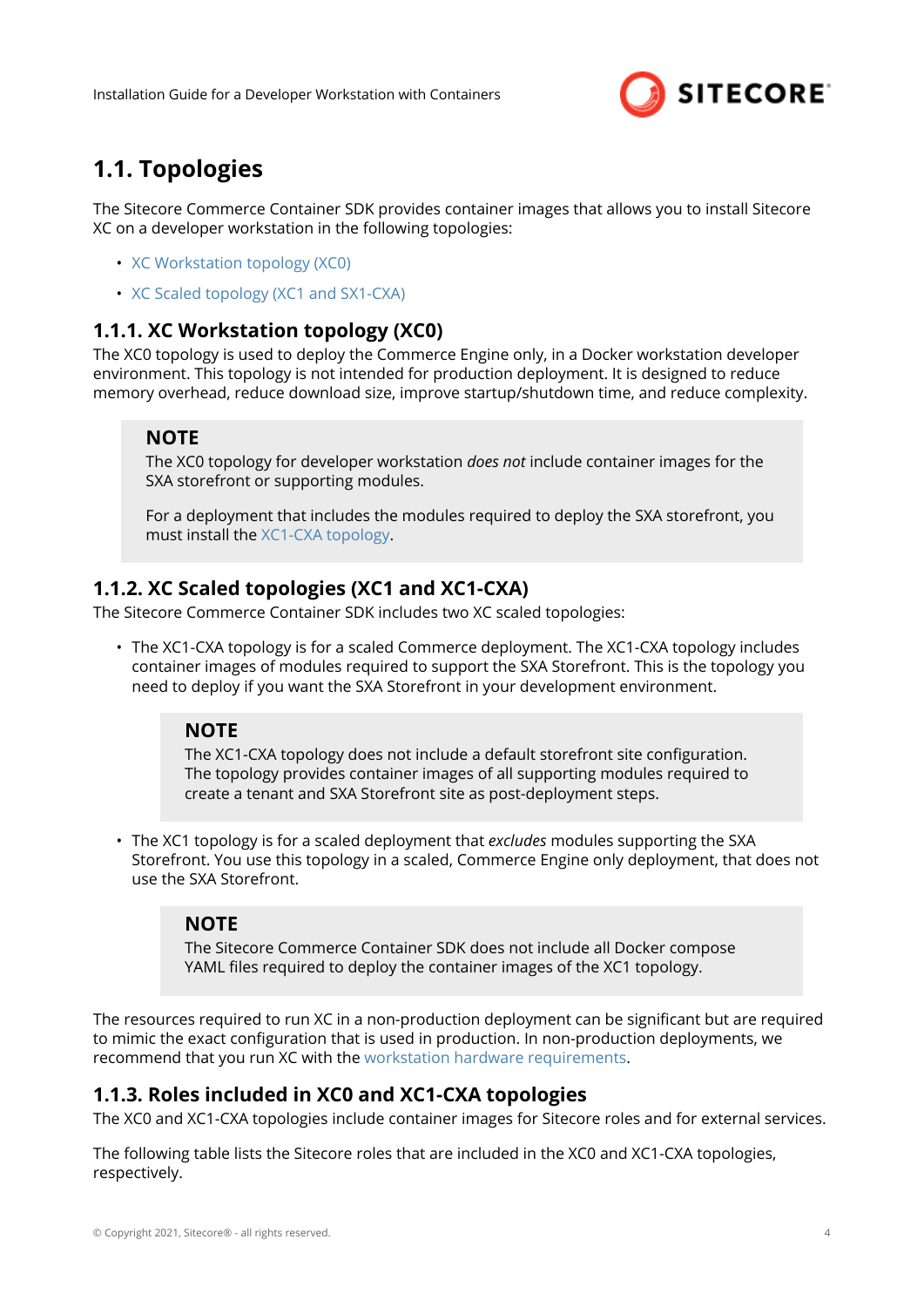

# <span id="page-3-0"></span>**1.1. Topologies**

The Sitecore Commerce Container SDK provides container images that allows you to install Sitecore XC on a developer workstation in the following topologies:

- XC Workstation topology (XC0)
- XC Scaled topology (XC1 and SX1-CXA)

#### **1.1.1. XC Workstation topology (XC0)**

The XC0 topology is used to deploy the Commerce Engine only, in a Docker workstation developer environment. This topology is not intended for production deployment. It is designed to reduce memory overhead, reduce download size, improve startup/shutdown time, and reduce complexity.

#### **NOTE**

The XC0 topology for developer workstation *does not* include container images for the SXA storefront or supporting modules.

For a deployment that includes the modules required to deploy the SXA storefront, you must install the XC1-CXA topology.

### **1.1.2. XC Scaled topologies (XC1 and XC1-CXA)**

The Sitecore Commerce Container SDK includes two XC scaled topologies:

• The XC1-CXA topology is for a scaled Commerce deployment. The XC1-CXA topology includes container images of modules required to support the SXA Storefront. This is the topology you need to deploy if you want the SXA Storefront in your development environment.

#### **NOTE**

The XC1-CXA topology does not include a default storefront site configuration. The topology provides container images of all supporting modules required to create a tenant and SXA Storefront site as post-deployment steps.

• The XC1 topology is for a scaled deployment that *excludes* modules supporting the SXA Storefront. You use this topology in a scaled, Commerce Engine only deployment, that does not use the SXA Storefront.

#### **NOTE**

The Sitecore Commerce Container SDK does not include all Docker compose YAML files required to deploy the container images of the XC1 topology.

The resources required to run XC in a non-production deployment can be significant but are required to mimic the exact configuration that is used in production. In non-production deployments, we recommend that you run XC with the [workstation hardware requirements.](#page-8-0)

### **1.1.3. Roles included in XC0 and XC1-CXA topologies**

The XC0 and XC1-CXA topologies include container images for Sitecore roles and for external services.

The following table lists the Sitecore roles that are included in the XC0 and XC1-CXA topologies, respectively.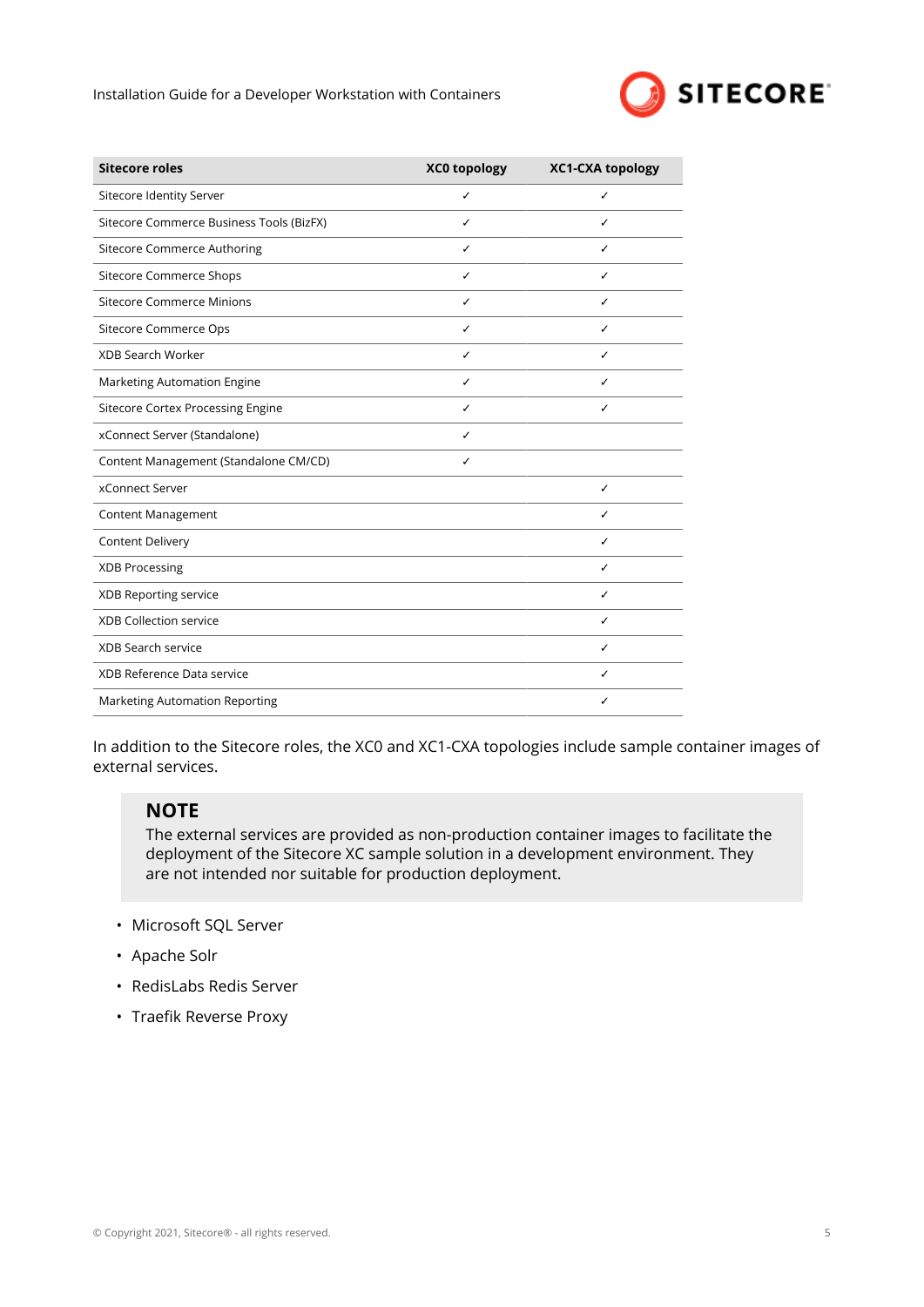

| <b>Sitecore roles</b>                    | <b>XC0 topology</b> | <b>XC1-CXA topology</b> |
|------------------------------------------|---------------------|-------------------------|
| Sitecore Identity Server                 | ✓                   | ✓                       |
| Sitecore Commerce Business Tools (BizFX) | ✓                   | ✓                       |
| Sitecore Commerce Authoring              | ✓                   | ✓                       |
| <b>Sitecore Commerce Shops</b>           | ✓                   | ✓                       |
| <b>Sitecore Commerce Minions</b>         | ✓                   | ✓                       |
| Sitecore Commerce Ops                    | ✓                   | ✓                       |
| <b>XDB Search Worker</b>                 | ✓                   | ✓                       |
| Marketing Automation Engine              | ✓                   | ✓                       |
| <b>Sitecore Cortex Processing Engine</b> | ✓                   | ✓                       |
| xConnect Server (Standalone)             | ✓                   |                         |
| Content Management (Standalone CM/CD)    | ✓                   |                         |
| xConnect Server                          |                     | ✓                       |
| Content Management                       |                     | ✓                       |
| Content Delivery                         |                     | ✓                       |
| <b>XDB Processing</b>                    |                     | ✓                       |
| XDB Reporting service                    |                     | ✓                       |
| <b>XDB Collection service</b>            |                     | ✓                       |
| <b>XDB Search service</b>                |                     | ✓                       |
| XDB Reference Data service               |                     | ✓                       |
| Marketing Automation Reporting           |                     | ✓                       |

In addition to the Sitecore roles, the XC0 and XC1-CXA topologies include sample container images of external services.

#### **NOTE**

The external services are provided as non-production container images to facilitate the deployment of the Sitecore XC sample solution in a development environment. They are not intended nor suitable for production deployment.

- Microsoft SQL Server
- Apache Solr
- RedisLabs Redis Server
- Traefik Reverse Proxy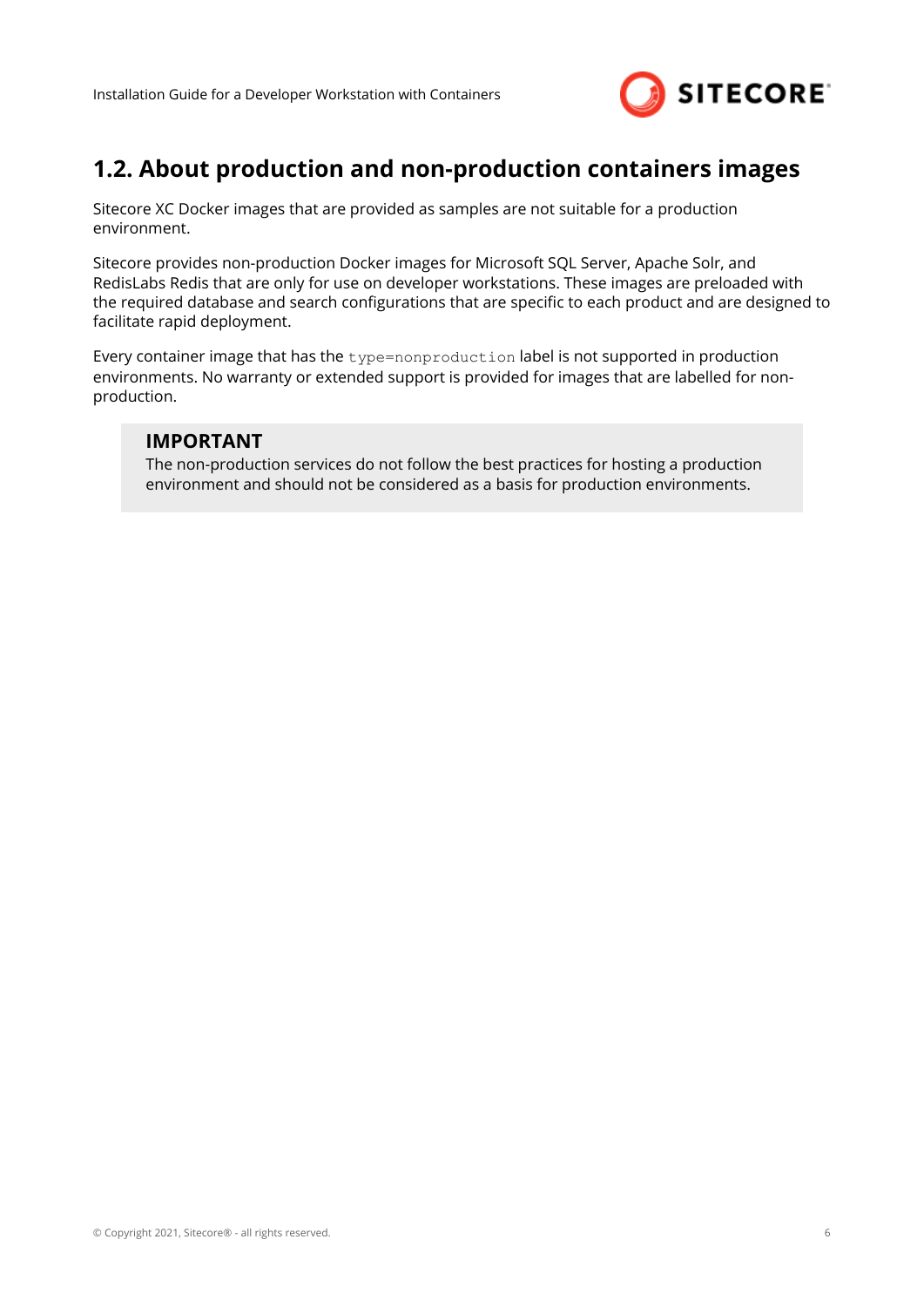

## <span id="page-5-0"></span>**1.2. About production and non-production containers images**

Sitecore XC Docker images that are provided as samples are not suitable for a production environment.

Sitecore provides non-production Docker images for Microsoft SQL Server, Apache Solr, and RedisLabs Redis that are only for use on developer workstations. These images are preloaded with the required database and search configurations that are specific to each product and are designed to facilitate rapid deployment.

Every container image that has the type=nonproduction label is not supported in production environments. No warranty or extended support is provided for images that are labelled for nonproduction.

#### **IMPORTANT**

The non-production services do not follow the best practices for hosting a production environment and should not be considered as a basis for production environments.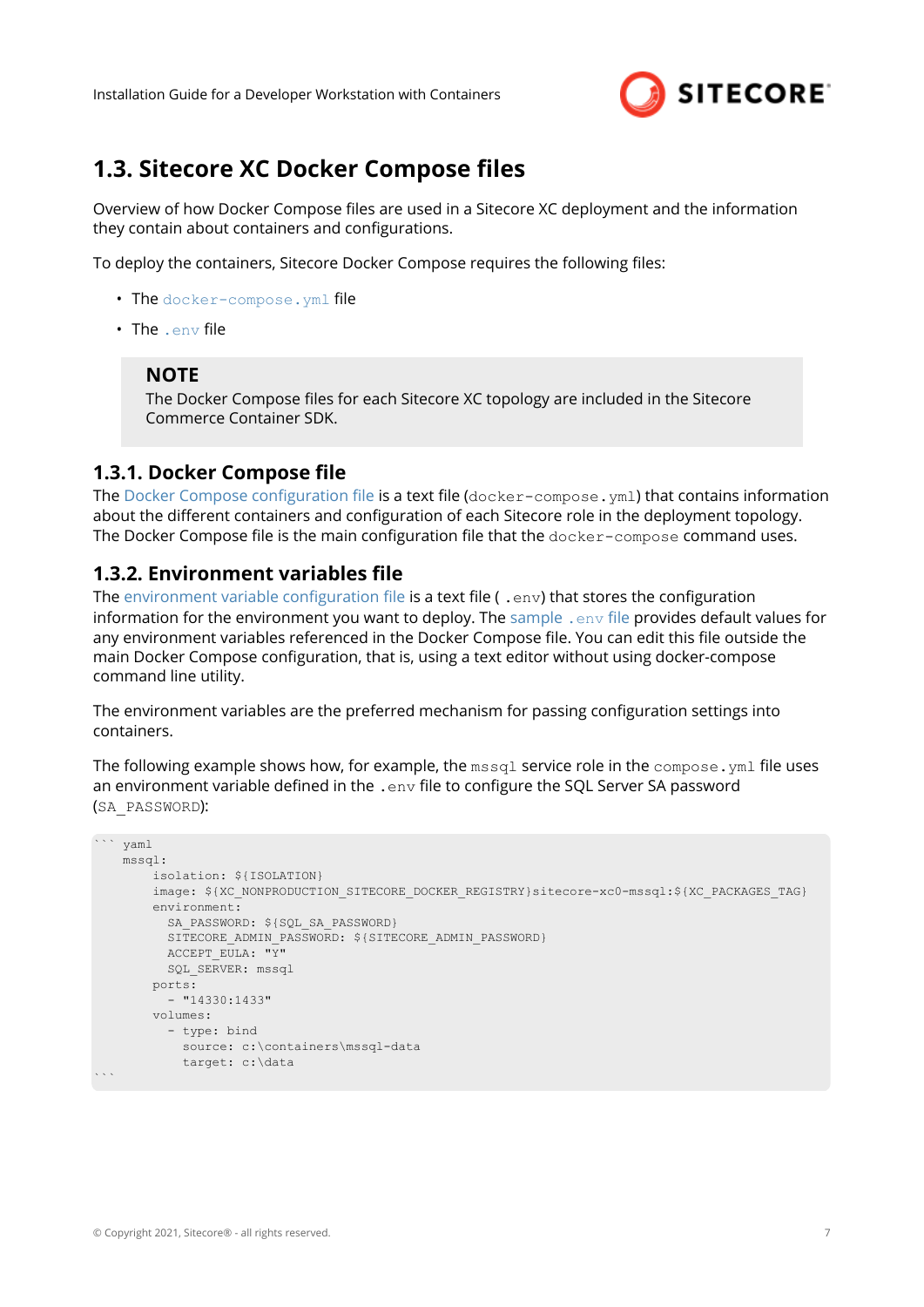

## <span id="page-6-0"></span>**1.3. Sitecore XC Docker Compose files**

Overview of how Docker Compose files are used in a Sitecore XC deployment and the information they contain about containers and configurations.

To deploy the containers, Sitecore Docker Compose requires the following files:

- The docker-compose. yml file
- The .env file

#### **NOTE**

The Docker Compose files for each Sitecore XC topology are included in the Sitecore Commerce Container SDK.

#### **1.3.1. Docker Compose file**

The Docker Compose configuration file is a text file ( $docker-compose$ .  $vm1$ ) that contains information about the different containers and configuration of each Sitecore role in the deployment topology. The Docker Compose file is the main configuration file that the  $\text{docker-compose}$  command uses.

#### **1.3.2. Environment variables file**

The environment variable configuration file is a text file ( . env) that stores the configuration information for the environment you want to deploy. The [sample](#page-12-0)  $\Delta$  env file provides default values for any environment variables referenced in the Docker Compose file. You can edit this file outside the main Docker Compose configuration, that is, using a text editor without using docker-compose command line utility.

The environment variables are the preferred mechanism for passing configuration settings into containers.

The following example shows how, for example, the  $msq1$  service role in the  $compose$ ,  $ym1$  file uses an environment variable defined in the . env file to configure the SQL Server SA password (SA\_PASSWORD):

```
``` yaml
     mssql:
        isolation: ${ISOLATION}
        image: ${XC_NONPRODUCTION_SITECORE_DOCKER_REGISTRY}sitecore-xc0-mssql:${XC_PACKAGES_TAG}
        environment:
          SA_PASSWORD: ${SQL_SA_PASSWORD}
         SITECORE ADMIN PASSWORD: ${SITECORE ADMIN PASSWORD}
          ACCEPT_EULA: "Y"
         SQL SERVER: mssql
         ports:
           - "14330:1433"
         volumes:
           - type: bind
            source: c:\containers\mssql-data
             target: c:\data
\mathbb{R}^n
```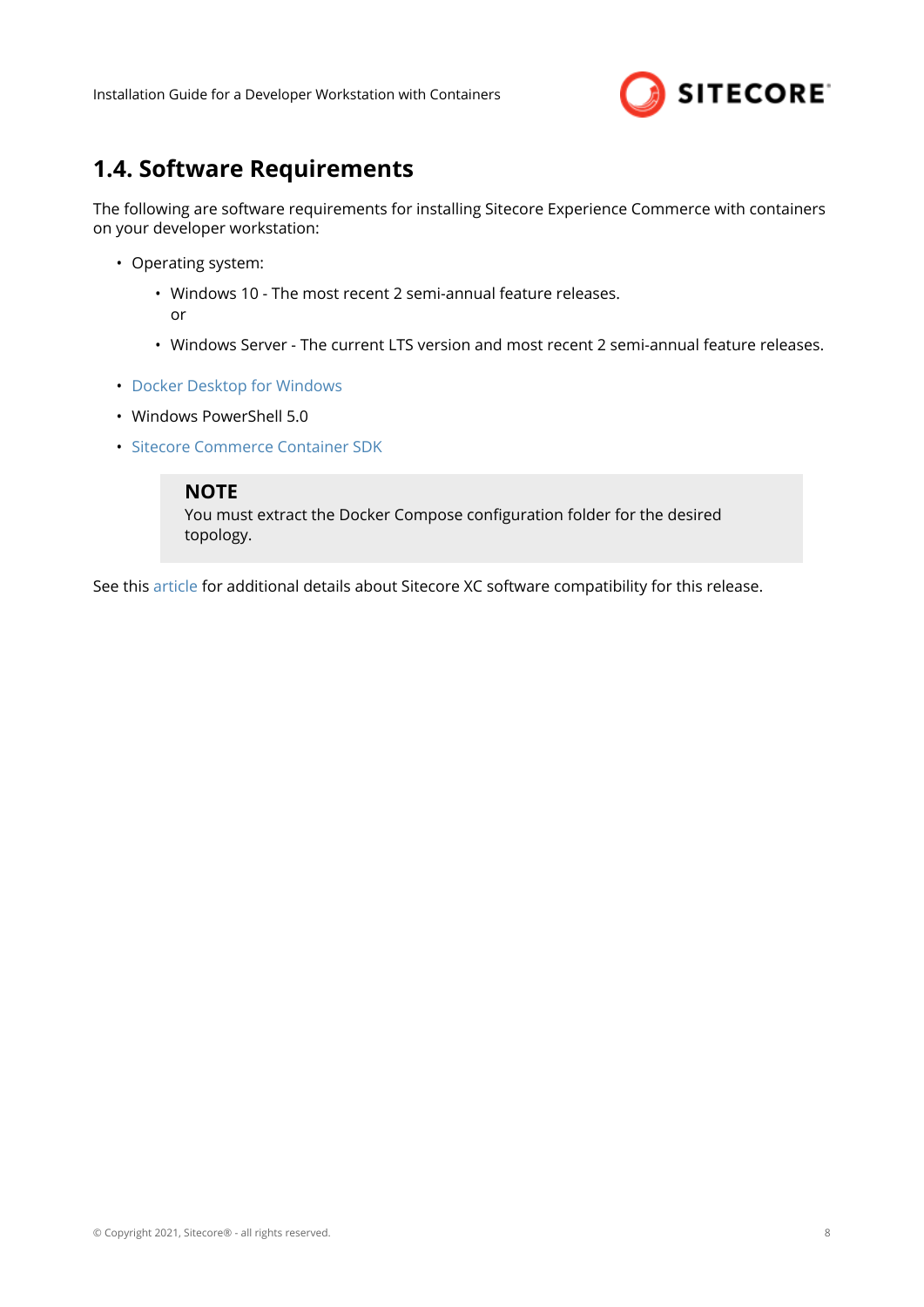

## <span id="page-7-0"></span>**1.4. Software Requirements**

The following are software requirements for installing Sitecore Experience Commerce with containers on your developer workstation:

- Operating system:
	- Windows 10 The most recent 2 semi-annual feature releases. or
	- Windows Server The current LTS version and most recent 2 semi-annual feature releases.
- [Docker Desktop for Windows](https://docs.docker.com/docker-for-windows/install/)
- Windows PowerShell 5.0
- [Sitecore Commerce Container SDK](https://dev.sitecore.net/Downloads/Sitecore_Commerce/100/Sitecore_Experience_Commerce_100.aspx)

#### **NOTE**

You must extract the Docker Compose configuration folder for the desired topology.

See this [article](https://kb.sitecore.net/articles/804595) for additional details about Sitecore XC software compatibility for this release.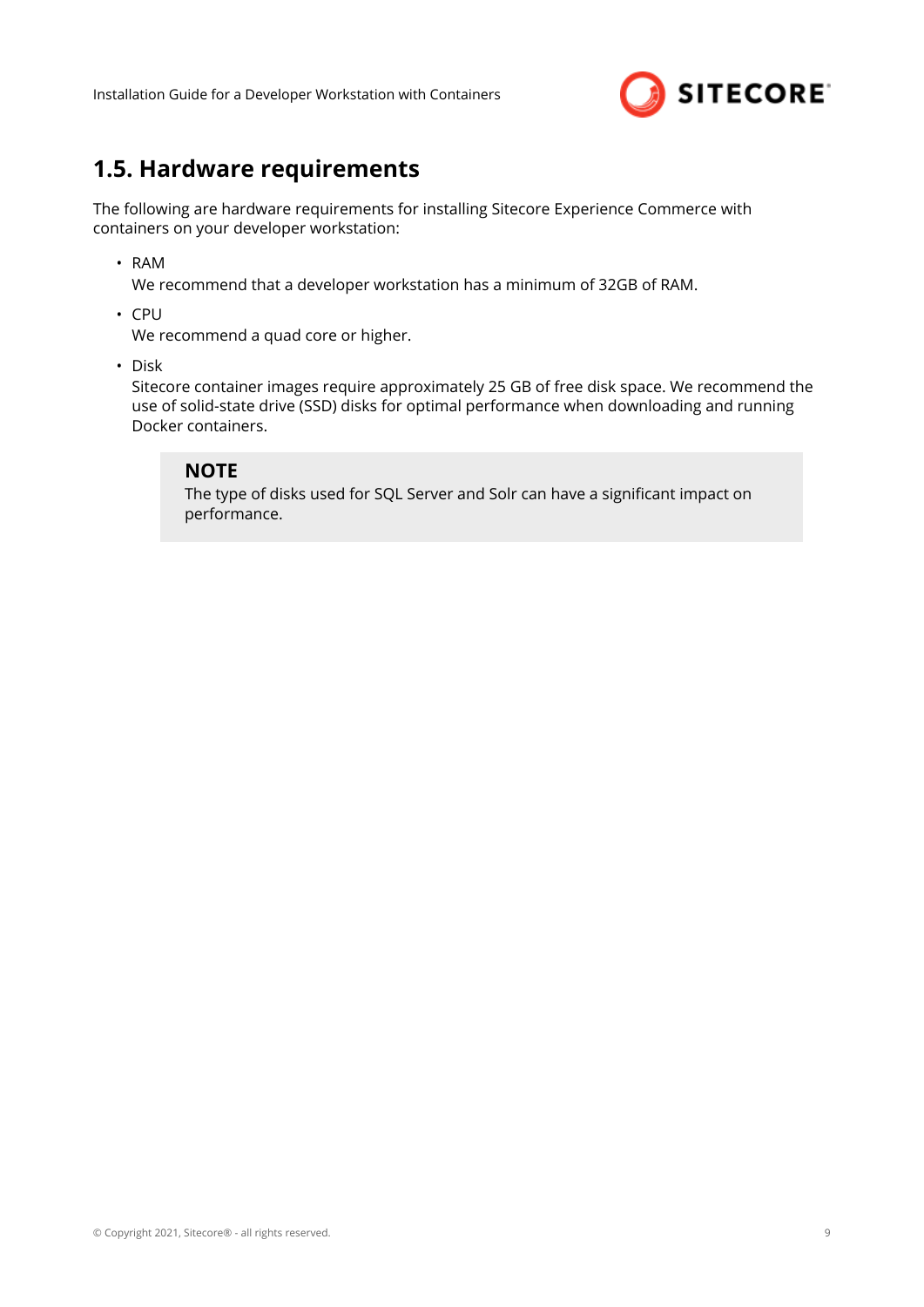

## <span id="page-8-0"></span>**1.5. Hardware requirements**

The following are hardware requirements for installing Sitecore Experience Commerce with containers on your developer workstation:

• RAM

We recommend that a developer workstation has a minimum of 32GB of RAM.

• CPU

We recommend a quad core or higher.

• Disk

Sitecore container images require approximately 25 GB of free disk space. We recommend the use of solid-state drive (SSD) disks for optimal performance when downloading and running Docker containers.

#### **NOTE**

The type of disks used for SQL Server and Solr can have a significant impact on performance.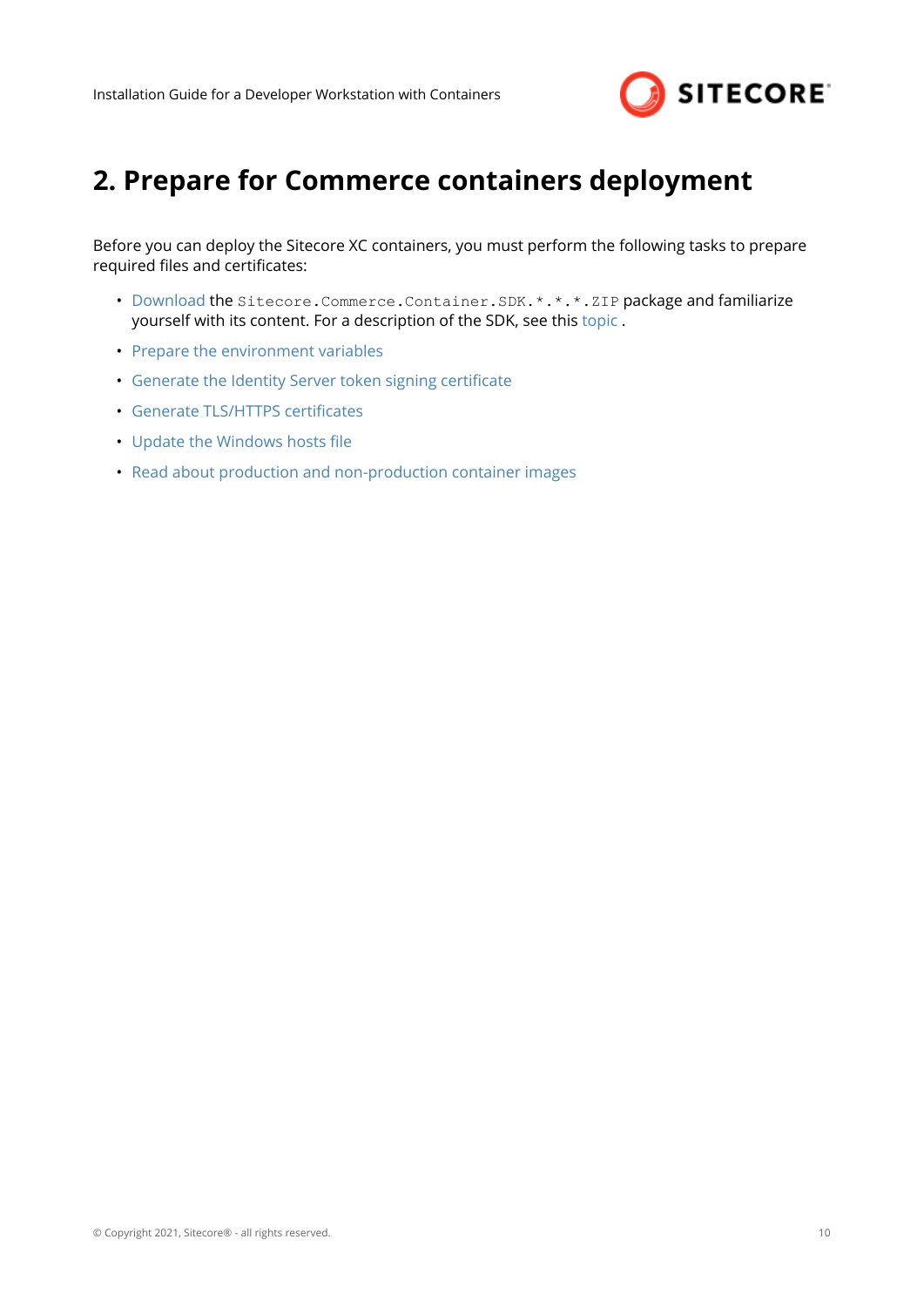

# <span id="page-9-0"></span>**2. Prepare for Commerce containers deployment**

Before you can deploy the Sitecore XC containers, you must perform the following tasks to prepare required files and certificates:

- [Download](https://dev.sitecore.net/Downloads/Sitecore_Commerce/100/Sitecore_Experience_Commerce_100.aspx) the Sitecore.Commerce.Container.SDK.\*.\*.\*.ZIP package and familiarize yourself with its content. For a description of the SDK, see this [topic](https://doc.sitecore.com/developers/100/sitecore-experience-commerce/en/sitecore-commerce-container-sdk.html) .
- [Prepare the environment variables](#page-10-0)
- Generate the Identity Server token signing certificate
- Generate TLS/HTTPS certificates
- Update the Windows hosts file
- [Read about production and non-production container images](#page-5-0)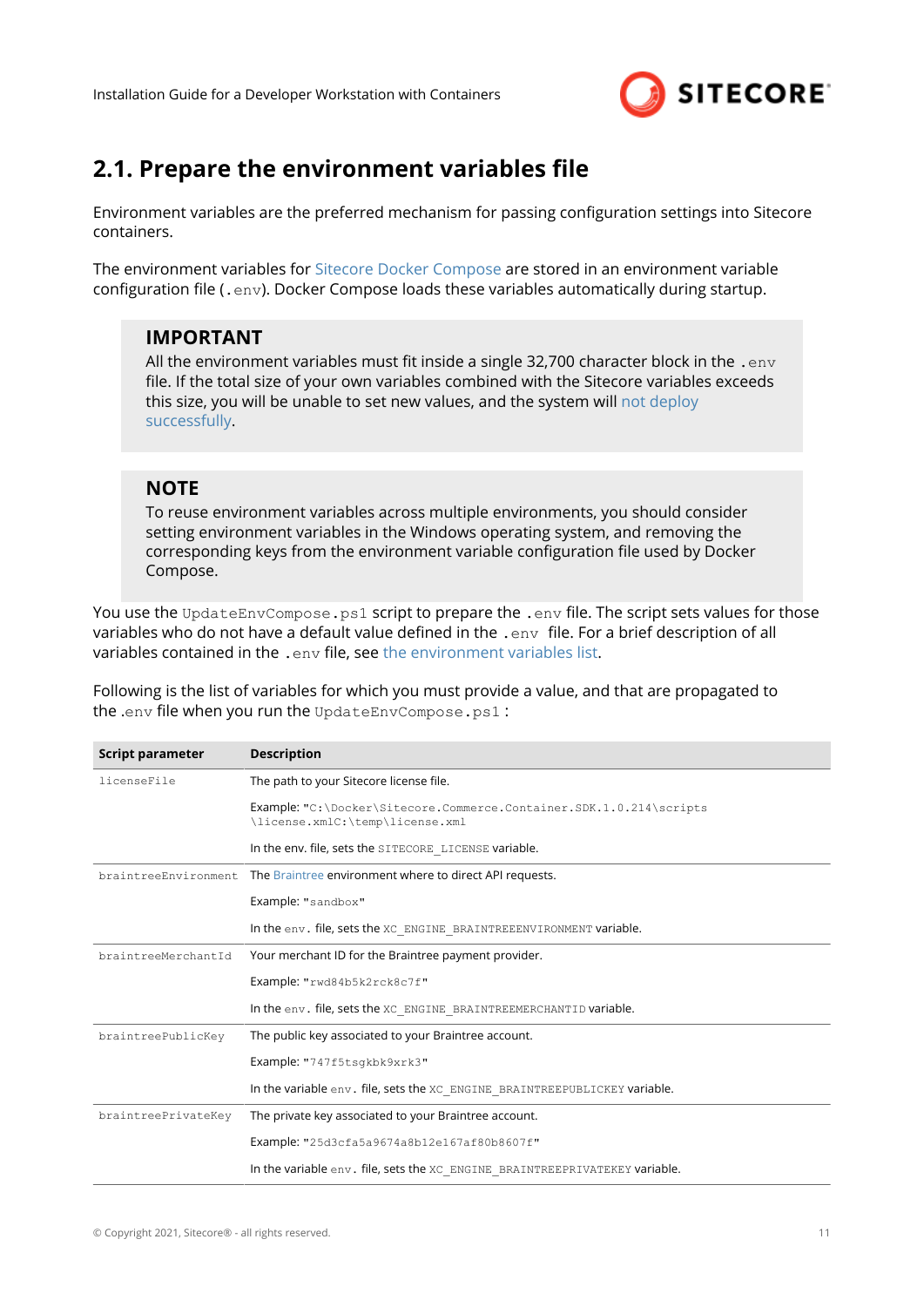

## <span id="page-10-0"></span>**2.1. Prepare the environment variables file**

Environment variables are the preferred mechanism for passing configuration settings into Sitecore containers.

The environment variables for [Sitecore Docker Compose](#page-6-0) are stored in an environment variable configuration file (.env). Docker Compose loads these variables automatically during startup.

#### **IMPORTANT**

All the environment variables must fit inside a single 32,700 character block in the .  $env$ file. If the total size of your own variables combined with the Sitecore variables exceeds this size, you will be unable to set new values, and the system will [not deploy](https://devblogs.microsoft.com/oldnewthing/20100203-00/?p=15083) [successfully](https://devblogs.microsoft.com/oldnewthing/20100203-00/?p=15083).

#### **NOTE**

To reuse environment variables across multiple environments, you should consider setting environment variables in the Windows operating system, and removing the corresponding keys from the environment variable configuration file used by Docker Compose.

You use the UpdateEnvCompose.ps1 script to prepare the .env file. The script sets values for those variables who do not have a default value defined in the . env file. For a brief description of all variables contained in the . env file, see [the environment variables list](#page-12-0).

Following is the list of variables for which you must provide a value, and that are propagated to the .env file when you run the UpdateEnvCompose.ps1 :

| Script parameter     | <b>Description</b>                                                                                     |
|----------------------|--------------------------------------------------------------------------------------------------------|
| licenseFile          | The path to your Sitecore license file.                                                                |
|                      | Example: "C:\Docker\Sitecore.Commerce.Container.SDK.1.0.214\scripts<br>\license.xmlC:\temp\license.xml |
|                      | In the env. file, sets the SITECORE LICENSE variable.                                                  |
| braintreeEnvironment | The Braintree environment where to direct API requests.                                                |
|                      | Example: "sandbox"                                                                                     |
|                      | In the env. file, sets the XC_ENGINE_BRAINTREEENVIRONMENT variable.                                    |
| braintreeMerchantId  | Your merchant ID for the Braintree payment provider.                                                   |
|                      | Example: "rwd84b5k2rck8c7f"                                                                            |
|                      | In the env. file, sets the XC ENGINE BRAINTREEMERCHANTID variable.                                     |
| braintreePublicKey   | The public key associated to your Braintree account.                                                   |
|                      | Example: "747f5tsgkbk9xrk3"                                                                            |
|                      | In the variable env. file, sets the XC ENGINE BRAINTREEPUBLICKEY variable.                             |
| braintreePrivateKey  | The private key associated to your Braintree account.                                                  |
|                      | Example: "25d3cfa5a9674a8b12e167af80b8607f"                                                            |
|                      | In the variable env. file, sets the XC ENGINE BRAINTREEPRIVATEKEY variable.                            |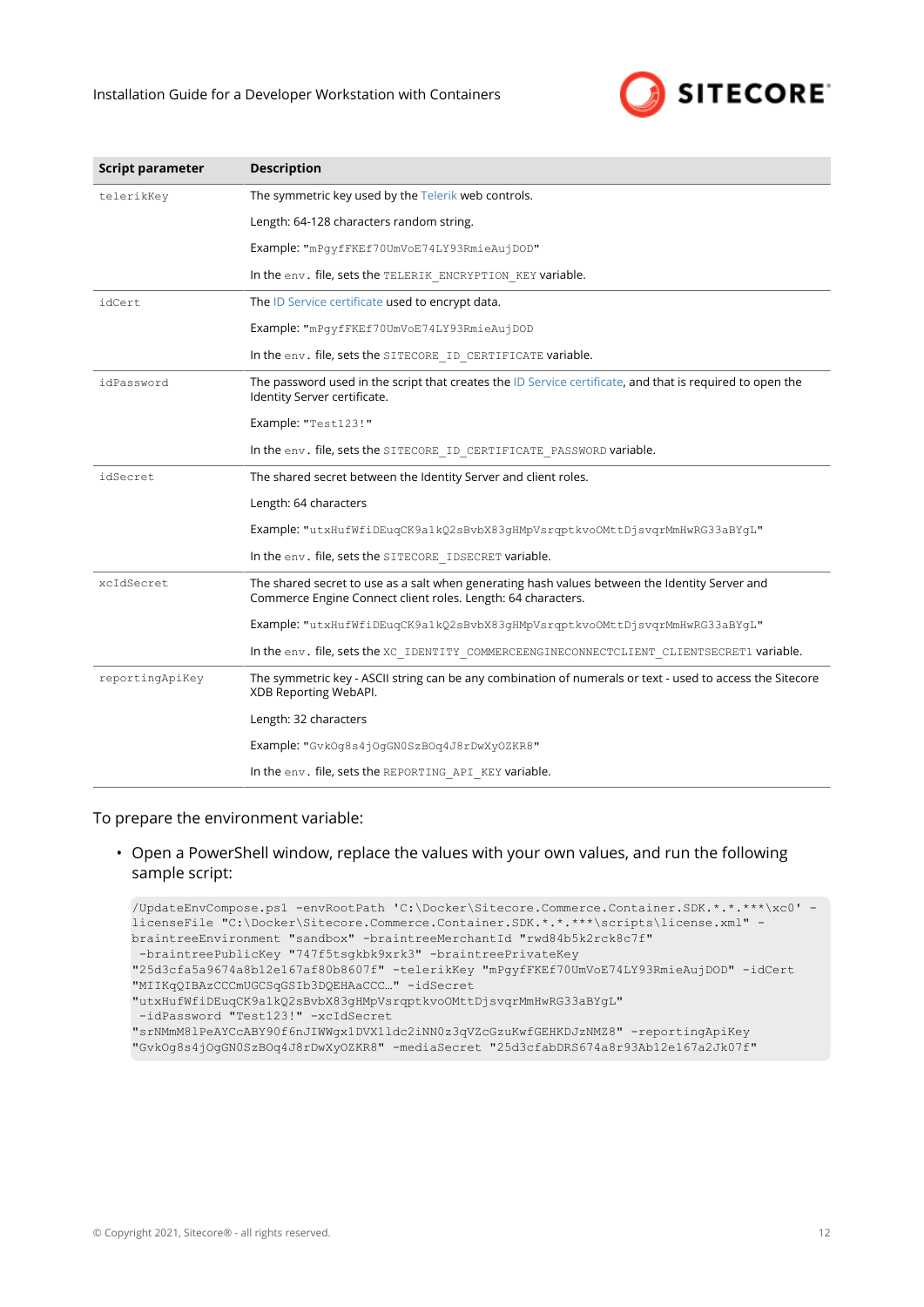#### Installation Guide for a Developer Workstation with Containers



| Script parameter | <b>Description</b>                                                                                                                                             |
|------------------|----------------------------------------------------------------------------------------------------------------------------------------------------------------|
| telerikKey       | The symmetric key used by the Telerik web controls.                                                                                                            |
|                  | Length: 64-128 characters random string.                                                                                                                       |
|                  | Example: "mPqyfFKEf70UmVoE74LY93RmieAujDOD"                                                                                                                    |
|                  | In the env. file, sets the TELERIK ENCRYPTION KEY variable.                                                                                                    |
| idCert           | The ID Service certificate used to encrypt data.                                                                                                               |
|                  | Example: "mPqyfFKEf70UmVoE74LY93RmieAujDOD                                                                                                                     |
|                  | In the env. file, sets the SITECORE ID CERTIFICATE variable.                                                                                                   |
| idPassword       | The password used in the script that creates the ID Service certificate, and that is required to open the<br>Identity Server certificate.                      |
|                  | Example: "Test123!"                                                                                                                                            |
|                  | In the env. file, sets the SITECORE ID CERTIFICATE PASSWORD variable.                                                                                          |
| idSecret         | The shared secret between the Identity Server and client roles.                                                                                                |
|                  | Length: 64 characters                                                                                                                                          |
|                  | Example: "utxHufWfiDEuqCK9a1kQ2sBvbX83gHMpVsrqptkvoOMttDjsvqrMmHwRG33aBYgL"                                                                                    |
|                  | In the env. file, sets the SITECORE IDSECRET variable.                                                                                                         |
| xcIdSecret       | The shared secret to use as a salt when generating hash values between the Identity Server and<br>Commerce Engine Connect client roles. Length: 64 characters. |
|                  | Example: "utxHufWfiDEuqCK9a1kQ2sBvbX83qHMpVsrqptkvoOMttDjsvqrMmHwRG33aBYqL"                                                                                    |
|                  | In the env. file, sets the XC IDENTITY COMMERCEENGINECONNECTCLIENT CLIENTSECRET1 variable.                                                                     |
| reportingApiKey  | The symmetric key - ASCII string can be any combination of numerals or text - used to access the Sitecore<br>XDB Reporting WebAPI.                             |
|                  | Length: 32 characters                                                                                                                                          |
|                  | Example: "GvkOq8s4jOqGN0SzBOq4J8rDwXyOZKR8"                                                                                                                    |
|                  | In the env. file, sets the REPORTING API KEY variable.                                                                                                         |

To prepare the environment variable:

• Open a PowerShell window, replace the values with your own values, and run the following sample script:

```
/UpdateEnvCompose.ps1 -envRootPath 'C:\Docker\Sitecore.Commerce.Container.SDK.*.*.***\xc0' -
licenseFile "C:\Docker\Sitecore.Commerce.Container.SDK.*.*.***\scripts\license.xml" -
braintreeEnvironment "sandbox" -braintreeMerchantId "rwd84b5k2rck8c7f"
 -braintreePublicKey "747f5tsgkbk9xrk3" -braintreePrivateKey 
"25d3cfa5a9674a8b12e167af80b8607f" -telerikKey "mPgyfFKEf70UmVoE74LY93RmieAujDOD" -idCert 
"MIIKqQIBAzCCCmUGCSqGSIb3DQEHAaCCC…" -idSecret 
"utxHufWfiDEuqCK9a1kQ2sBvbX83gHMpVsrqptkvoOMttDjsvqrMmHwRG33aBYgL"
 -idPassword "Test123!" -xcIdSecret 
"srNMmM8lPeAYCcABY90f6nJIWWgx1DVX1ldc2iNN0z3qVZcGzuKwfGEHKDJzNMZ8" -reportingApiKey 
"GvkOg8s4jOgGN0SzBOq4J8rDwXyOZKR8" -mediaSecret "25d3cfabDRS674a8r93Ab12e167a2Jk07f"
```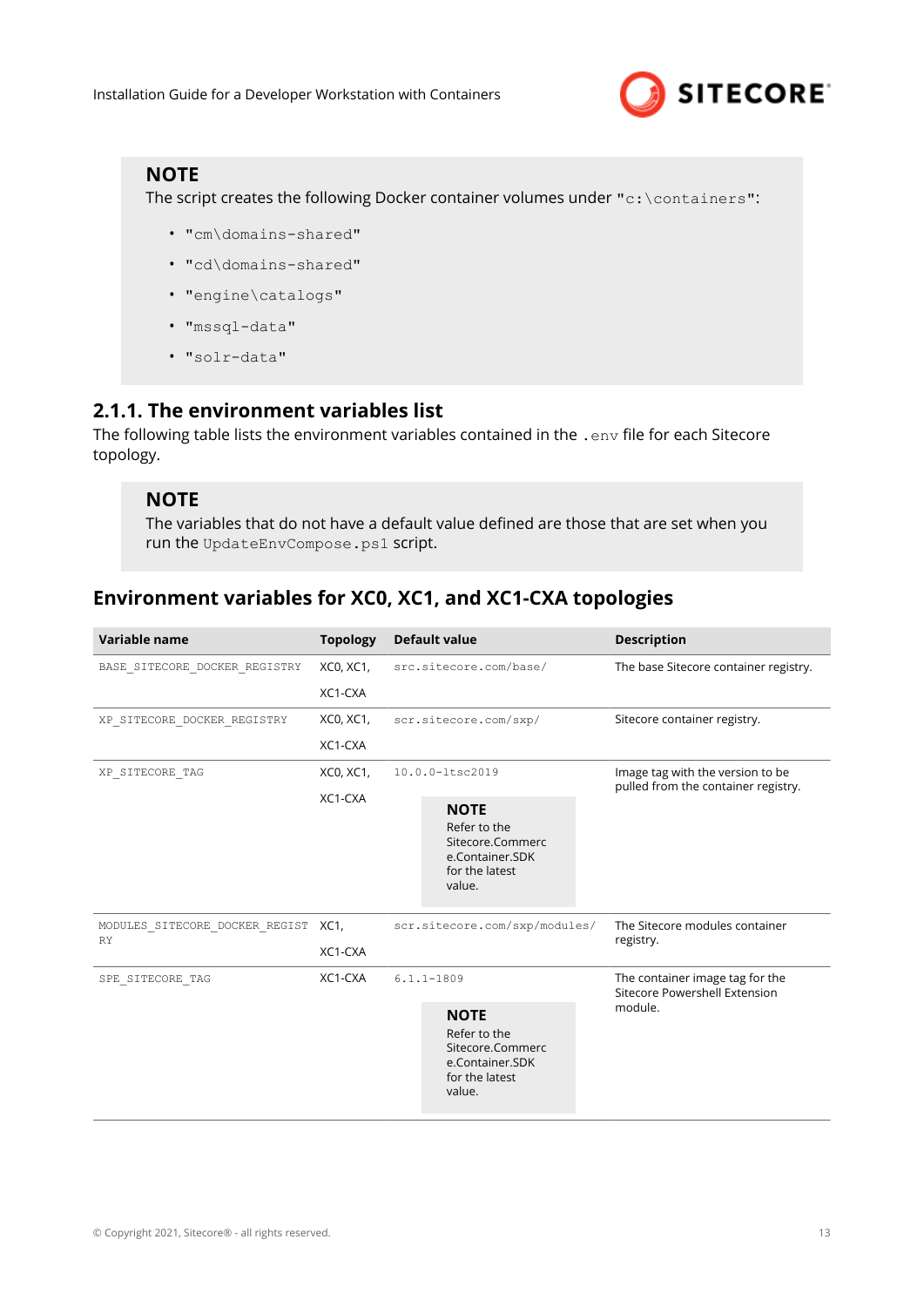

#### <span id="page-12-0"></span>**NOTE**

The script creates the following Docker container volumes under "c:\containers":

- "cm\domains-shared"
- "cd\domains-shared"
- "engine\catalogs"
- "mssql-data"
- "solr-data"

#### **2.1.1. The environment variables list**

The following table lists the environment variables contained in the . env file for each Sitecore topology.

#### **NOTE**

The variables that do not have a default value defined are those that are set when you run the UpdateEnvCompose.ps1 script.

## **Environment variables for XC0, XC1, and XC1-CXA topologies**

| Variable name                               | <b>Topology</b> | <b>Default value</b>                                                                           | <b>Description</b>                                                      |  |
|---------------------------------------------|-----------------|------------------------------------------------------------------------------------------------|-------------------------------------------------------------------------|--|
| BASE SITECORE DOCKER REGISTRY               | XC0, XC1,       | src.sitecore.com/base/                                                                         | The base Sitecore container registry.                                   |  |
|                                             | XC1-CXA         |                                                                                                |                                                                         |  |
| XP SITECORE DOCKER REGISTRY                 | XC0, XC1,       | scr.sitecore.com/sxp/                                                                          | Sitecore container registry.                                            |  |
|                                             | XC1-CXA         |                                                                                                |                                                                         |  |
| XP SITECORE TAG                             | XC0, XC1,       | 10.0.0-ltsc2019                                                                                | Image tag with the version to be<br>pulled from the container registry. |  |
|                                             | XC1-CXA         | <b>NOTE</b><br>Refer to the<br>Sitecore.Commerc<br>e.Container.SDK<br>for the latest<br>value. |                                                                         |  |
| MODULES SITECORE DOCKER REGIST<br><b>RY</b> | XC1.            | scr.sitecore.com/sxp/modules/                                                                  | The Sitecore modules container<br>registry.                             |  |
|                                             | XC1-CXA         |                                                                                                |                                                                         |  |
| SPE SITECORE TAG                            | XC1-CXA         | $6.1.1 - 1809$                                                                                 | The container image tag for the<br>Sitecore Powershell Extension        |  |
|                                             |                 | <b>NOTE</b><br>Refer to the<br>Sitecore.Commerc<br>e.Container.SDK<br>for the latest<br>value. | module.                                                                 |  |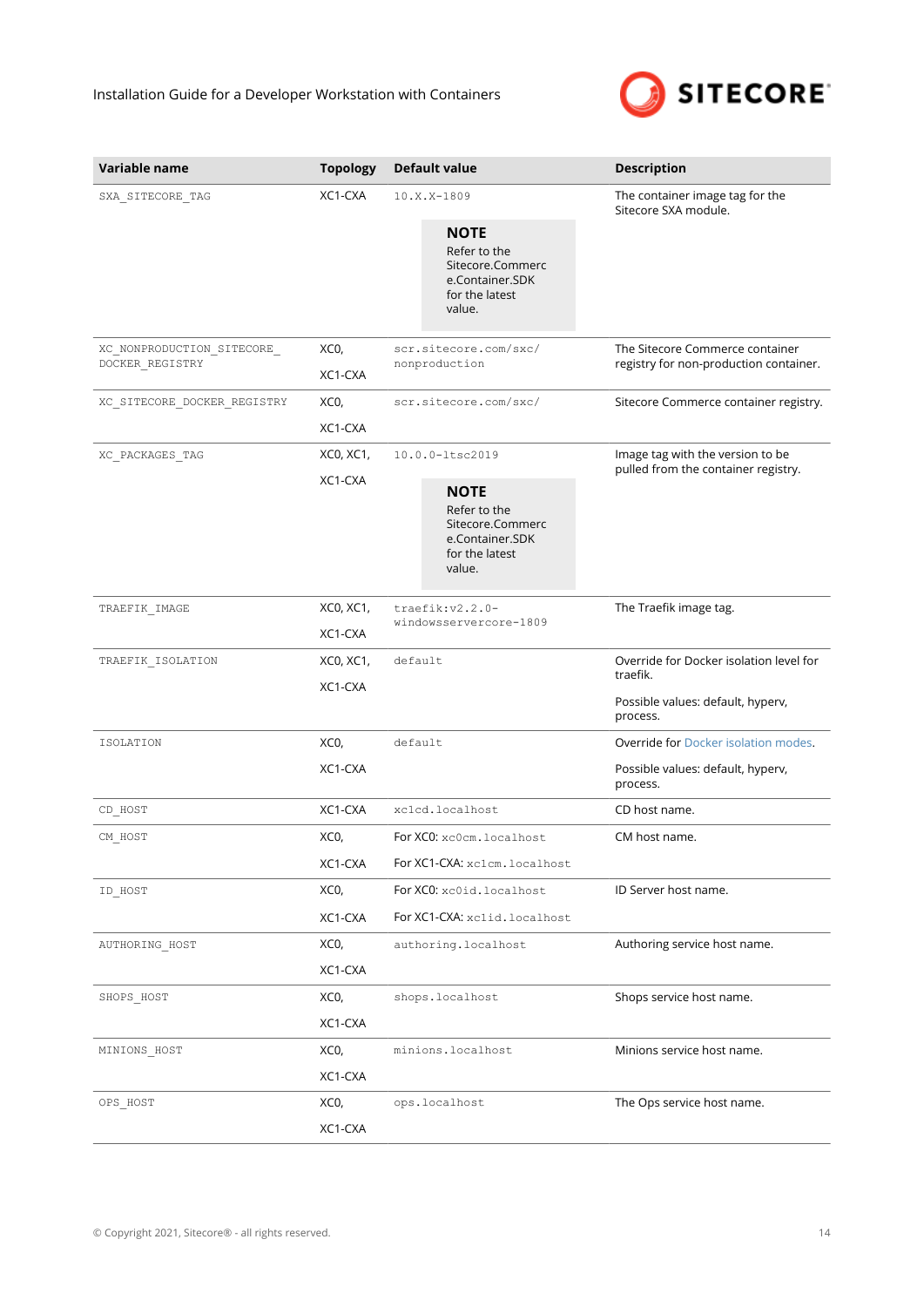$\sim$ 



| Variable name                                 | <b>Topology</b>      | <b>Default value</b>                                                                           | <b>Description</b>                                                        |
|-----------------------------------------------|----------------------|------------------------------------------------------------------------------------------------|---------------------------------------------------------------------------|
| SXA SITECORE TAG                              | XC1-CXA              | 10.X.X-1809                                                                                    | The container image tag for the<br>Sitecore SXA module.                   |
|                                               |                      | <b>NOTE</b><br>Refer to the<br>Sitecore.Commerc<br>e.Container.SDK<br>for the latest<br>value. |                                                                           |
| XC_NONPRODUCTION_SITECORE_<br>DOCKER REGISTRY | XCO,<br>XC1-CXA      | scr.sitecore.com/sxc/<br>nonproduction                                                         | The Sitecore Commerce container<br>registry for non-production container. |
| XC_SITECORE_DOCKER_REGISTRY                   | XCO,<br>XC1-CXA      | scr.sitecore.com/sxc/                                                                          | Sitecore Commerce container registry.                                     |
| XC_PACKAGES_TAG                               | XC0, XC1,<br>XC1-CXA | 10.0.0-ltsc2019                                                                                | Image tag with the version to be<br>pulled from the container registry.   |
|                                               |                      | <b>NOTE</b><br>Refer to the<br>Sitecore.Commerc<br>e.Container.SDK<br>for the latest<br>value. |                                                                           |
| TRAEFIK_IMAGE                                 | XC0, XC1,            | traefik:v2.2.0-                                                                                | The Traefik image tag.                                                    |
|                                               | XC1-CXA              | windowsservercore-1809                                                                         |                                                                           |
| TRAEFIK ISOLATION                             | XC0, XC1,<br>XC1-CXA | default                                                                                        | Override for Docker isolation level for<br>traefik.                       |
|                                               |                      |                                                                                                | Possible values: default, hyperv,<br>process.                             |
| <b>ISOLATION</b>                              | XCO,                 | default                                                                                        | Override for Docker isolation modes.                                      |
|                                               | XC1-CXA              |                                                                                                | Possible values: default, hyperv,<br>process.                             |
| CD HOST                                       | XC1-CXA              | xclcd.localhost                                                                                | CD host name.                                                             |
| CM_HOST                                       | XCO,                 | For XCO: xc0cm.localhost                                                                       | CM host name.                                                             |
|                                               | XC1-CXA              | For XC1-CXA: xc1cm.localhost                                                                   |                                                                           |
| ID HOST                                       | XCO,                 | For XCO: xc0id.localhost                                                                       | ID Server host name.                                                      |
|                                               | XC1-CXA              | For XC1-CXA: xclid.localhost                                                                   |                                                                           |
| AUTHORING_HOST                                | XCO,                 | authoring.localhost                                                                            | Authoring service host name.                                              |
|                                               | XC1-CXA              |                                                                                                |                                                                           |
| SHOPS HOST                                    | XCO,                 | shops.localhost                                                                                | Shops service host name.                                                  |
|                                               | XC1-CXA              |                                                                                                |                                                                           |
| MINIONS_HOST                                  | XCO,                 | minions.localhost                                                                              | Minions service host name.                                                |
|                                               | XC1-CXA              |                                                                                                |                                                                           |
| OPS HOST                                      | XCO,                 | ops.localhost                                                                                  | The Ops service host name.                                                |
|                                               | XC1-CXA              |                                                                                                |                                                                           |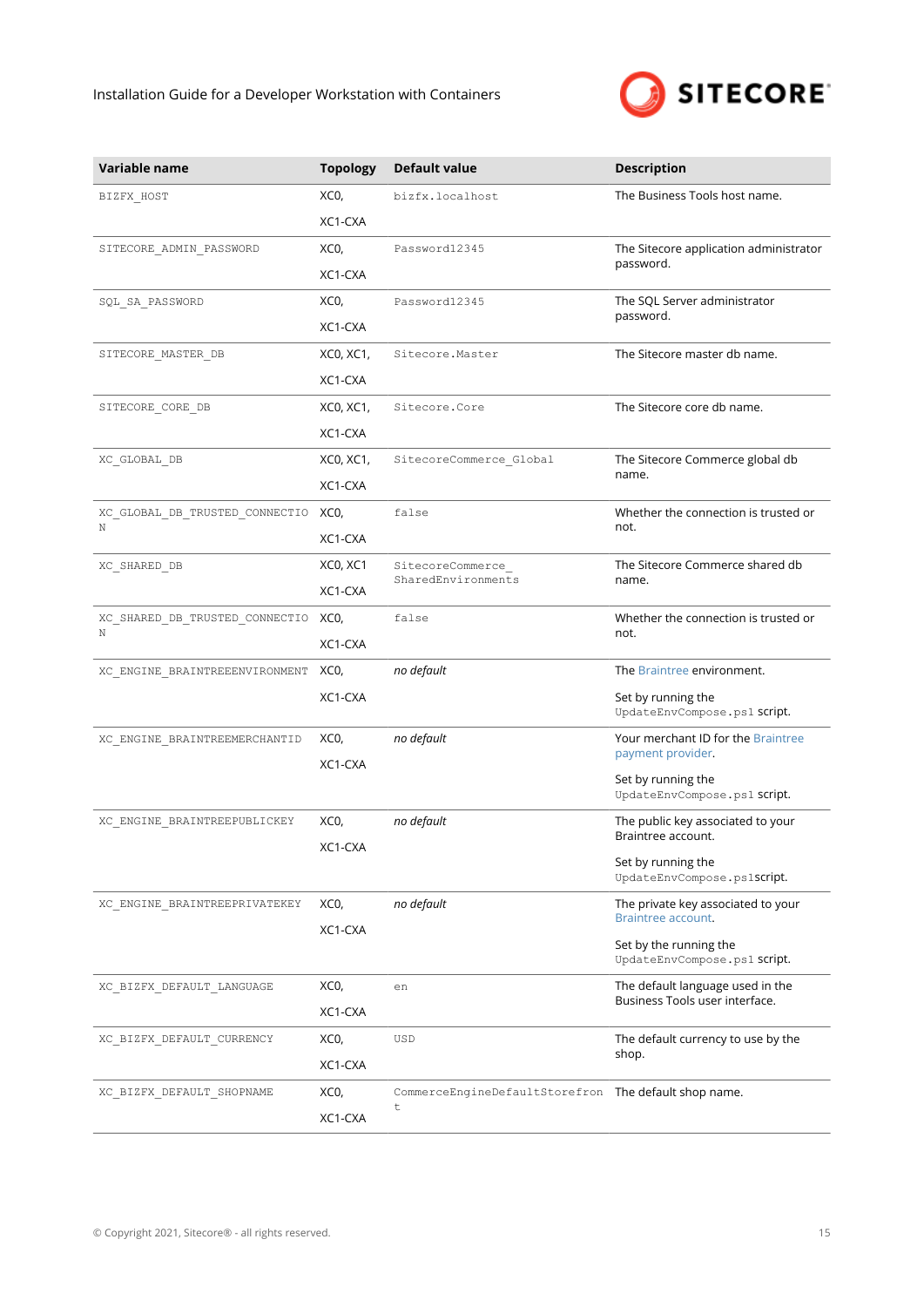

| Variable name                       | <b>Topology</b> | <b>Default value</b>                                  | <b>Description</b>                                       |
|-------------------------------------|-----------------|-------------------------------------------------------|----------------------------------------------------------|
| BIZFX_HOST                          | XCO,            | bizfx.localhost                                       | The Business Tools host name.                            |
|                                     | XC1-CXA         |                                                       |                                                          |
| SITECORE_ADMIN_PASSWORD             | XCO,            | Password12345                                         | The Sitecore application administrator                   |
|                                     | XC1-CXA         |                                                       | password.                                                |
| SQL_SA_PASSWORD                     | XCO,            | Password12345                                         | The SQL Server administrator                             |
|                                     | XC1-CXA         |                                                       | password.                                                |
| SITECORE_MASTER_DB                  | XC0, XC1,       | Sitecore.Master                                       | The Sitecore master db name.                             |
|                                     | XC1-CXA         |                                                       |                                                          |
| SITECORE_CORE_DB                    | XC0, XC1,       | Sitecore.Core                                         | The Sitecore core db name.                               |
|                                     | XC1-CXA         |                                                       |                                                          |
| XC_GLOBAL_DB                        | XC0, XC1,       | SitecoreCommerce_Global                               | The Sitecore Commerce global db                          |
|                                     | XC1-CXA         |                                                       | name.                                                    |
| XC GLOBAL DB TRUSTED CONNECTIO<br>Ν | XCO,            | false                                                 | Whether the connection is trusted or                     |
|                                     | XC1-CXA         |                                                       | not.                                                     |
| XC_SHARED_DB                        | XCO, XC1        | SitecoreCommerce_<br>SharedEnvironments               | The Sitecore Commerce shared db<br>name.                 |
|                                     | XC1-CXA         |                                                       |                                                          |
| XC_SHARED_DB_TRUSTED_CONNECTIO<br>N | XCO,            | false                                                 | Whether the connection is trusted or<br>not.             |
|                                     | XC1-CXA         |                                                       |                                                          |
| XC_ENGINE_BRAINTREEENVIRONMENT      | XCO,            | no default                                            | The Braintree environment.                               |
|                                     | XC1-CXA         |                                                       | Set by running the<br>UpdateEnvCompose.ps1 Script.       |
| XC ENGINE BRAINTREEMERCHANTID       | XCO,            | no default                                            | Your merchant ID for the Braintree<br>payment provider.  |
|                                     | XC1-CXA         |                                                       |                                                          |
|                                     |                 |                                                       | Set by running the<br>UpdateEnvCompose.ps1 Script.       |
| XC_ENGINE_BRAINTREEPUBLICKEY        | XCO,            | no default                                            | The public key associated to your<br>Braintree account.  |
|                                     | XC1-CXA         |                                                       | Set by running the                                       |
|                                     |                 |                                                       | UpdateEnvCompose.ps1Script.                              |
| XC ENGINE BRAINTREEPRIVATEKEY       | XCO,            | no default                                            | The private key associated to your<br>Braintree account. |
|                                     | XC1-CXA         |                                                       | Set by the running the                                   |
|                                     |                 |                                                       | UpdateEnvCompose.ps1 Script.                             |
| XC BIZFX DEFAULT LANGUAGE           | XCO,            | en                                                    | The default language used in the                         |
|                                     | XC1-CXA         |                                                       | Business Tools user interface.                           |
| XC BIZFX DEFAULT CURRENCY           | XCO,            | USD                                                   | The default currency to use by the                       |
|                                     | XC1-CXA         |                                                       | shop.                                                    |
| XC BIZFX DEFAULT SHOPNAME           | XCO,            | CommerceEngineDefaultStorefron The default shop name. |                                                          |
|                                     | XC1-CXA         | t                                                     |                                                          |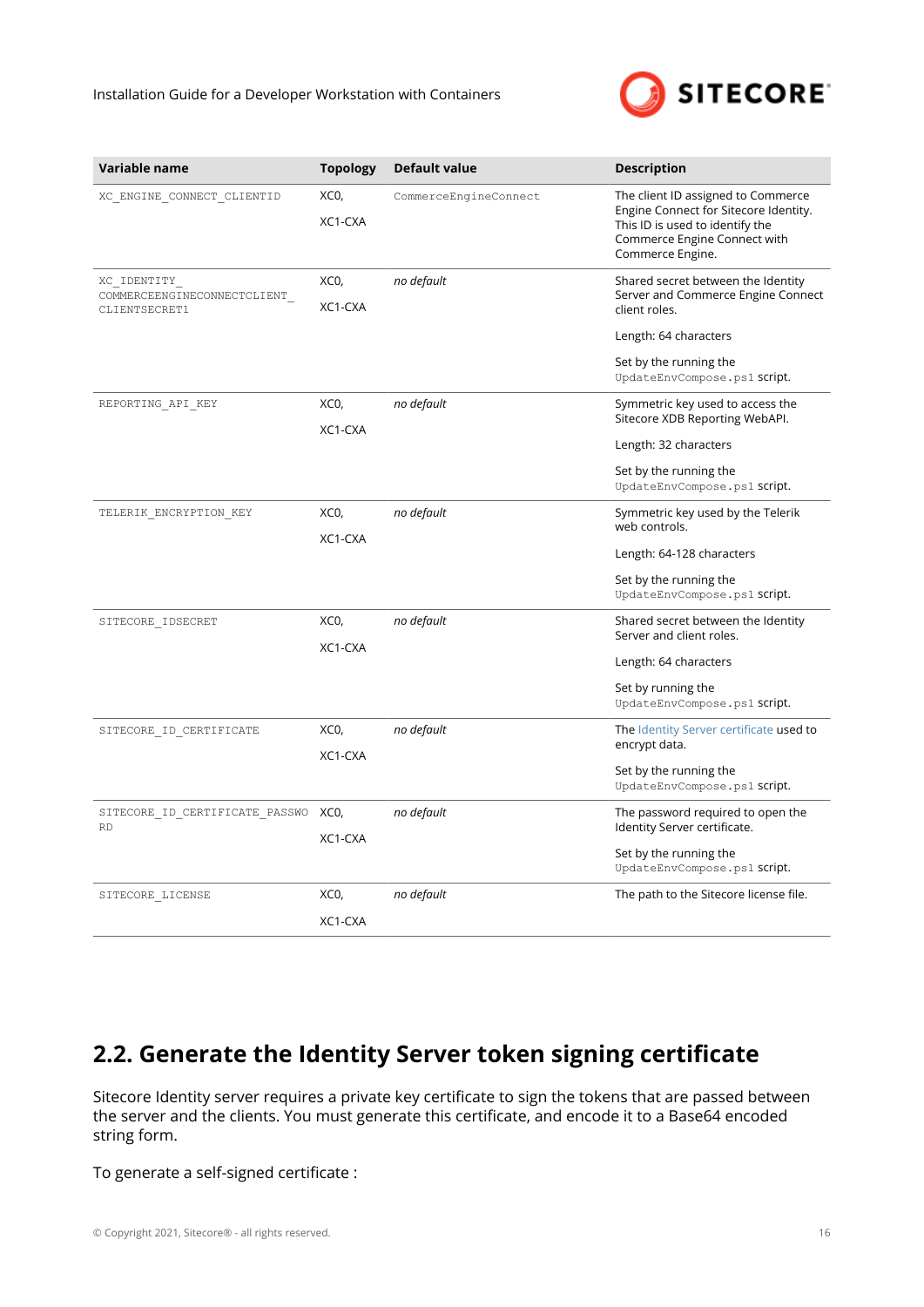

<span id="page-15-0"></span>

| Variable name                                               | <b>Topology</b> | <b>Default value</b>  | <b>Description</b>                                                                                                                                                           |
|-------------------------------------------------------------|-----------------|-----------------------|------------------------------------------------------------------------------------------------------------------------------------------------------------------------------|
| XC ENGINE CONNECT CLIENTID                                  | XCO,<br>XC1-CXA | CommerceEngineConnect | The client ID assigned to Commerce<br>Engine Connect for Sitecore Identity.<br>This ID is used to identify the<br>Commerce Engine Connect with<br>Commerce Engine.           |
| XC IDENTITY<br>COMMERCEENGINECONNECTCLIENT<br>CLIENTSECRET1 | XCO,<br>XC1-CXA | no default            | Shared secret between the Identity<br>Server and Commerce Engine Connect<br>client roles.<br>Length: 64 characters<br>Set by the running the<br>UpdateEnvCompose.ps1 script. |
| REPORTING API KEY                                           | XCO,<br>XC1-CXA | no default            | Symmetric key used to access the<br>Sitecore XDB Reporting WebAPI.<br>Length: 32 characters<br>Set by the running the<br>UpdateEnvCompose.ps1 script.                        |
| TELERIK ENCRYPTION KEY                                      | XCO,<br>XC1-CXA | no default            | Symmetric key used by the Telerik<br>web controls.<br>Length: 64-128 characters<br>Set by the running the<br>UpdateEnvCompose.ps1 script.                                    |
| SITECORE IDSECRET                                           | XCO,<br>XC1-CXA | no default            | Shared secret between the Identity<br>Server and client roles.<br>Length: 64 characters<br>Set by running the<br>UpdateEnvCompose.ps1 script.                                |
| SITECORE ID CERTIFICATE                                     | XCO,<br>XC1-CXA | no default            | The Identity Server certificate used to<br>encrypt data.<br>Set by the running the<br>UpdateEnvCompose.ps1 script.                                                           |
| SITECORE ID CERTIFICATE PASSWO<br><b>RD</b>                 | XCO,<br>XC1-CXA | no default            | The password required to open the<br>Identity Server certificate.<br>Set by the running the<br>UpdateEnvCompose.ps1 script.                                                  |
| SITECORE LICENSE                                            | XCO,<br>XC1-CXA | no default            | The path to the Sitecore license file.                                                                                                                                       |

# **2.2. Generate the Identity Server token signing certificate**

Sitecore Identity server requires a private key certificate to sign the tokens that are passed between the server and the clients. You must generate this certificate, and encode it to a Base64 encoded string form.

To generate a self-signed certificate :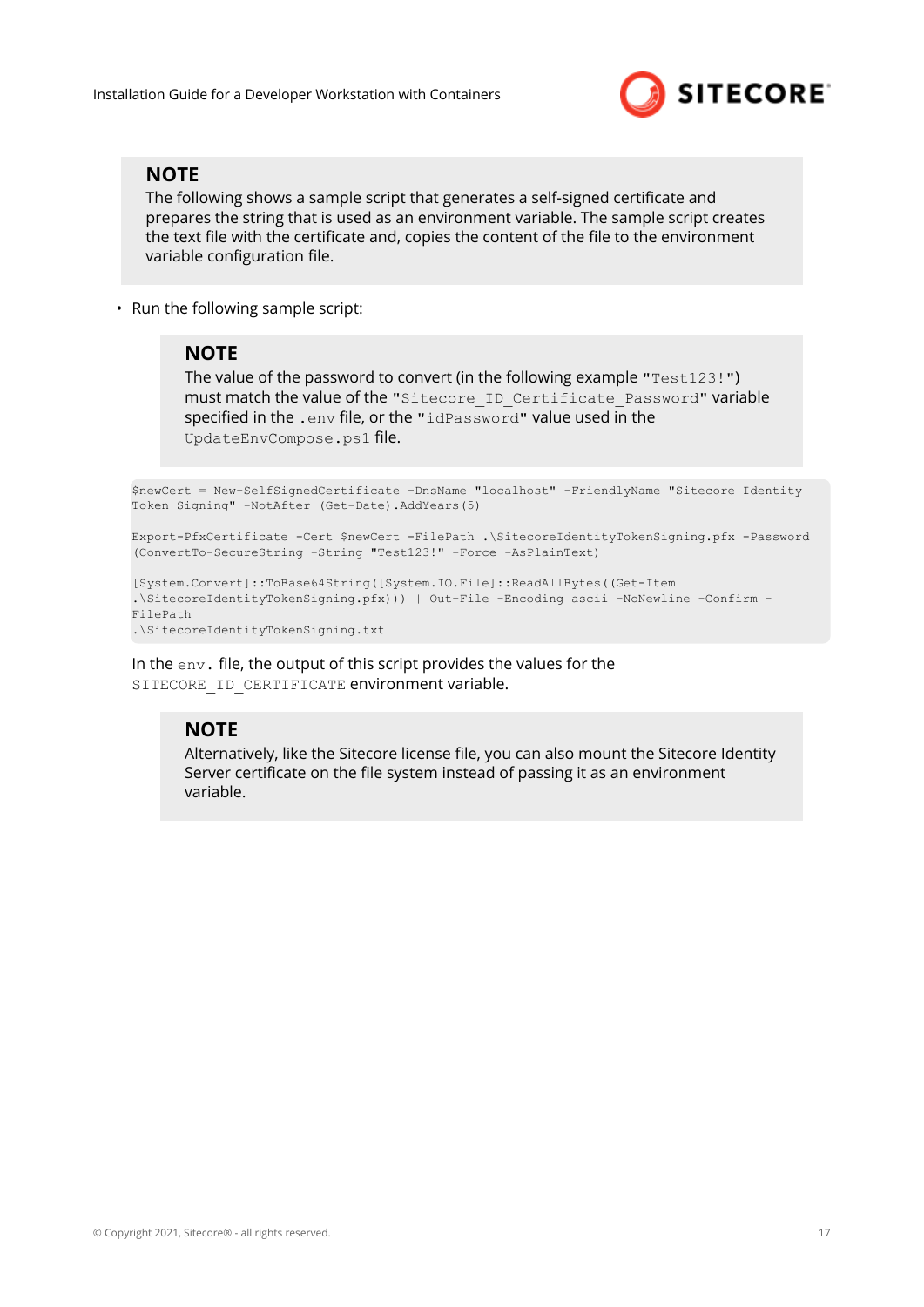

#### **NOTE**

The following shows a sample script that generates a self-signed certificate and prepares the string that is used as an environment variable. The sample script creates the text file with the certificate and, copies the content of the file to the environment variable configuration file.

• Run the following sample script:

#### **NOTE**

The value of the password to convert (in the following example "Test123!") must match the value of the "Sitecore ID Certificate Password" variable specified in the .env file, or the "idPassword" value used in the UpdateEnvCompose.ps1 file.

```
$newCert = New-SelfSignedCertificate -DnsName "localhost" -FriendlyName "Sitecore Identity
Token Signing" -NotAfter (Get-Date).AddYears(5)
```

```
Export-PfxCertificate -Cert $newCert -FilePath .\SitecoreIdentityTokenSigning.pfx -Password
(ConvertTo-SecureString -String "Test123!" -Force -AsPlainText)
```

```
[System.Convert]::ToBase64String([System.IO.File]::ReadAllBytes((Get-Item
.\SitecoreIdentityTokenSigning.pfx))) | Out-File -Encoding ascii -NoNewline -Confirm -
FilePath
.\SitecoreIdentityTokenSigning.txt
```
In the env. file, the output of this script provides the values for the SITECORE ID CERTIFICATE environment variable.

#### **NOTE**

Alternatively, like the Sitecore license file, you can also mount the Sitecore Identity Server certificate on the file system instead of passing it as an environment variable.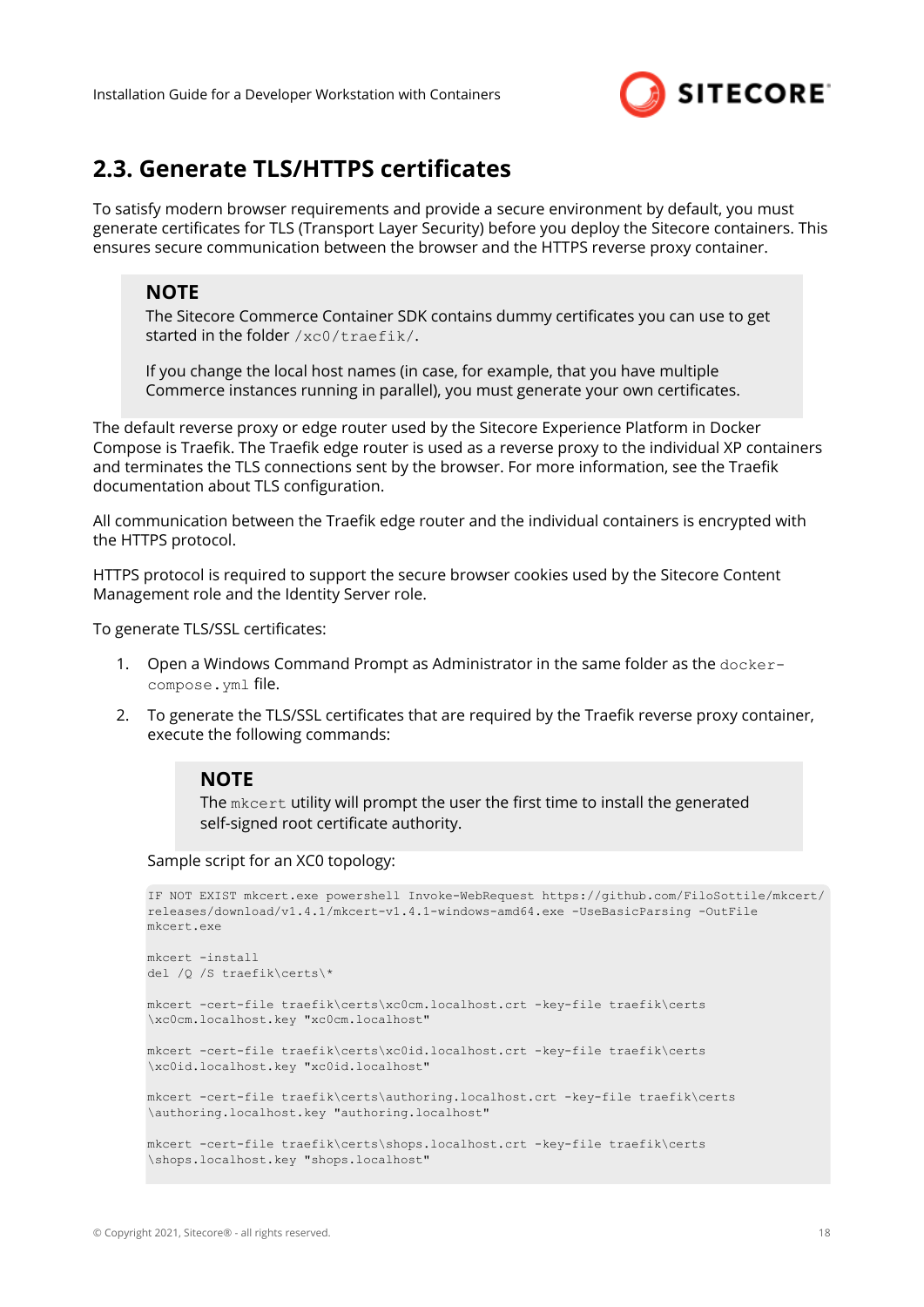

## <span id="page-17-0"></span>**2.3. Generate TLS/HTTPS certificates**

To satisfy modern browser requirements and provide a secure environment by default, you must generate certificates for TLS (Transport Layer Security) before you deploy the Sitecore containers. This ensures secure communication between the browser and the HTTPS reverse proxy container.

#### **NOTE**

The Sitecore Commerce Container SDK contains dummy certificates you can use to get started in the folder /xc0/traefik/.

If you change the local host names (in case, for example, that you have multiple Commerce instances running in parallel), you must generate your own certificates.

The default reverse proxy or edge router used by the Sitecore Experience Platform in Docker Compose is Traefik. The Traefik edge router is used as a reverse proxy to the individual XP containers and terminates the TLS connections sent by the browser. For more information, see the Traefik documentation about TLS configuration.

All communication between the Traefik edge router and the individual containers is encrypted with the HTTPS protocol.

HTTPS protocol is required to support the secure browser cookies used by the Sitecore Content Management role and the Identity Server role.

To generate TLS/SSL certificates:

- 1. Open a Windows Command Prompt as Administrator in the same folder as the dockercompose.yml file.
- 2. To generate the TLS/SSL certificates that are required by the Traefik reverse proxy container, execute the following commands:

#### **NOTE**

The mkcert utility will prompt the user the first time to install the generated self-signed root certificate authority.

Sample script for an XC0 topology:

```
IF NOT EXIST mkcert.exe powershell Invoke-WebRequest https://github.com/FiloSottile/mkcert/
releases/download/v1.4.1/mkcert-v1.4.1-windows-amd64.exe -UseBasicParsing -OutFile 
mkcert.exe
mkcert -install
del /Q /S traefik\certs\*
mkcert -cert-file traefik\certs\xc0cm.localhost.crt -key-file traefik\certs
\xc0cm.localhost.key "xc0cm.localhost"
mkcert -cert-file traefik\certs\xc0id.localhost.crt -key-file traefik\certs
\xc0id.localhost.key "xc0id.localhost"
mkcert -cert-file traefik\certs\authoring.localhost.crt -key-file traefik\certs
\authoring.localhost.key "authoring.localhost"
mkcert -cert-file traefik\certs\shops.localhost.crt -key-file traefik\certs
\shops.localhost.key "shops.localhost"
```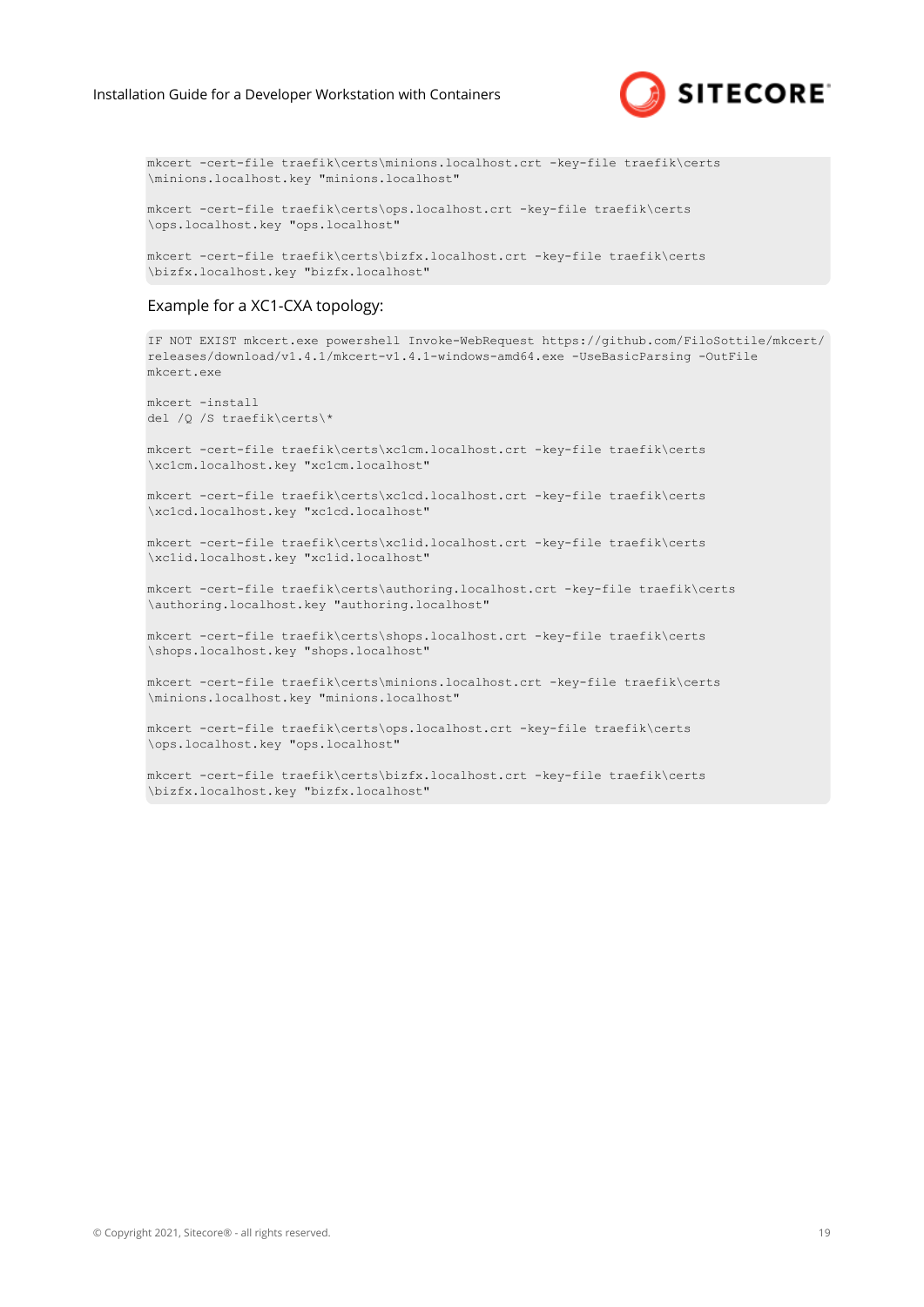

mkcert -cert-file traefik\certs\minions.localhost.crt -key-file traefik\certs \minions.localhost.key "minions.localhost"

mkcert -cert-file traefik\certs\ops.localhost.crt -key-file traefik\certs \ops.localhost.key "ops.localhost"

mkcert -cert-file traefik\certs\bizfx.localhost.crt -key-file traefik\certs \bizfx.localhost.key "bizfx.localhost"

#### Example for a XC1-CXA topology:

```
IF NOT EXIST mkcert.exe powershell Invoke-WebRequest https://github.com/FiloSottile/mkcert/
releases/download/v1.4.1/mkcert-v1.4.1-windows-amd64.exe -UseBasicParsing -OutFile 
mkcert.exe
mkcert -install
del /Q /S traefik\certs\*
mkcert -cert-file traefik\certs\xc1cm.localhost.crt -key-file traefik\certs
\xc1cm.localhost.key "xc1cm.localhost"
mkcert -cert-file traefik\certs\xc1cd.localhost.crt -key-file traefik\certs
\xc1cd.localhost.key "xc1cd.localhost" 
mkcert -cert-file traefik\certs\xc1id.localhost.crt -key-file traefik\certs
\xc1id.localhost.key "xc1id.localhost" 
mkcert -cert-file traefik\certs\authoring.localhost.crt -key-file traefik\certs
\authoring.localhost.key "authoring.localhost" 
mkcert -cert-file traefik\certs\shops.localhost.crt -key-file traefik\certs
\shops.localhost.key "shops.localhost" 
mkcert -cert-file traefik\certs\minions.localhost.crt -key-file traefik\certs
\minions.localhost.key "minions.localhost"
mkcert -cert-file traefik\certs\ops.localhost.crt -key-file traefik\certs
\ops.localhost.key "ops.localhost"
```
mkcert -cert-file traefik\certs\bizfx.localhost.crt -key-file traefik\certs \bizfx.localhost.key "bizfx.localhost"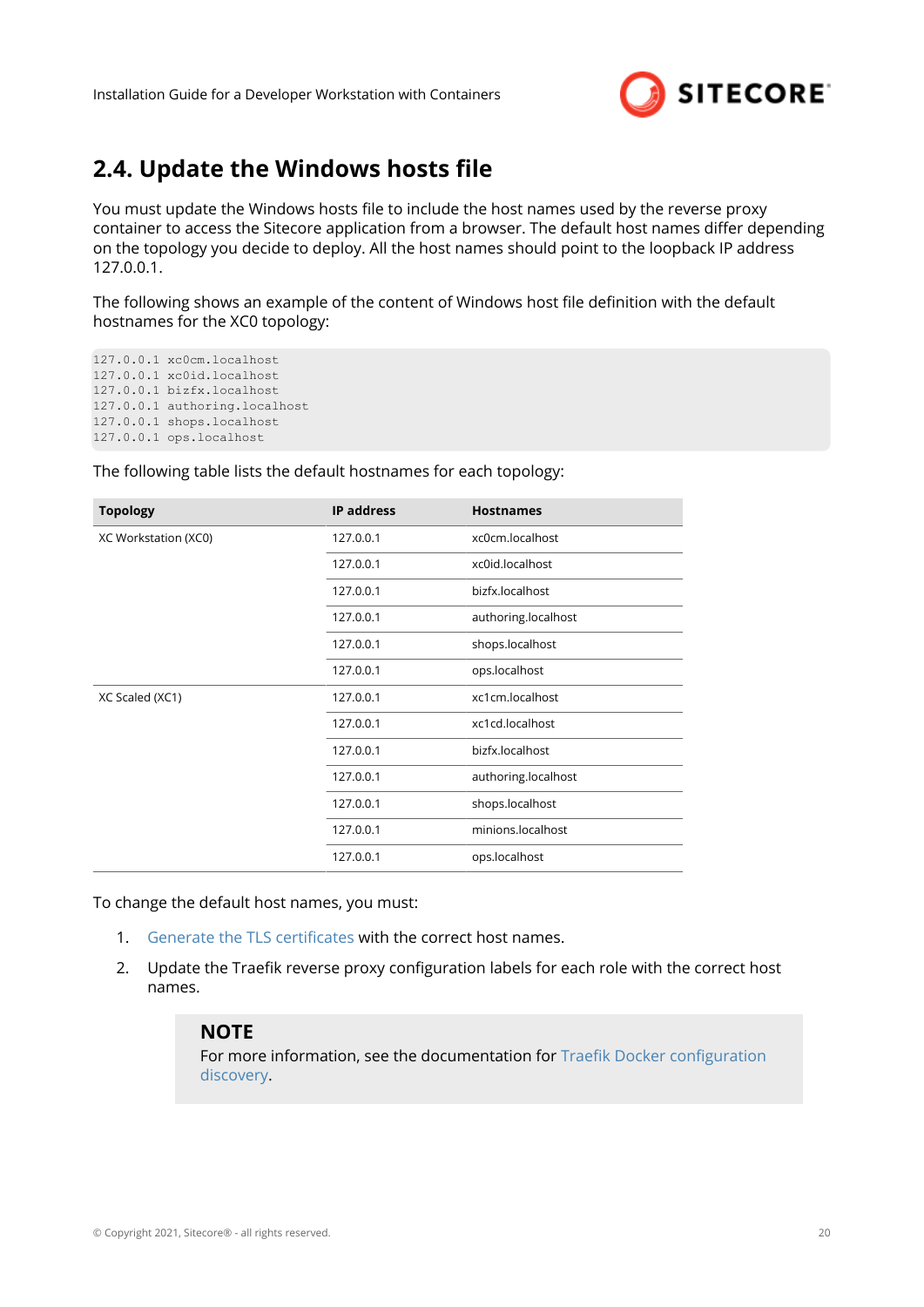

## <span id="page-19-0"></span>**2.4. Update the Windows hosts file**

You must update the Windows hosts file to include the host names used by the reverse proxy container to access the Sitecore application from a browser. The default host names differ depending on the topology you decide to deploy. All the host names should point to the loopback IP address 127.0.0.1.

The following shows an example of the content of Windows host file definition with the default hostnames for the XC0 topology:

127.0.0.1 xc0cm.localhost 127.0.0.1 xc0id.localhost 127.0.0.1 bizfx.localhost 127.0.0.1 authoring.localhost 127.0.0.1 shops.localhost 127.0.0.1 ops.localhost

The following table lists the default hostnames for each topology:

| <b>Topology</b>      | <b>IP address</b> | <b>Hostnames</b>    |
|----------------------|-------------------|---------------------|
| XC Workstation (XC0) | 127.0.0.1         | xc0cm.localhost     |
|                      | 127.0.0.1         | xc0id.localhost     |
|                      | 127.0.0.1         | bizfx.localhost     |
|                      | 127.0.0.1         | authoring.localhost |
|                      | 127.0.0.1         | shops.localhost     |
|                      | 127.0.0.1         | ops.localhost       |
| XC Scaled (XC1)      | 127.0.0.1         | xc1cm.localhost     |
|                      | 127.0.0.1         | xc1cd.localhost     |
|                      | 127.0.0.1         | bizfx.localhost     |
|                      | 127.0.0.1         | authoring.localhost |
|                      | 127.0.0.1         | shops.localhost     |
|                      | 127.0.0.1         | minions.localhost   |
|                      | 127.0.0.1         | ops.localhost       |

To change the default host names, you must:

- 1. Generate the TLS certificates with the correct host names.
- 2. Update the Traefik reverse proxy configuration labels for each role with the correct host names.

#### **NOTE**

For more information, see the documentation for Traefik Docker configuration [discovery.](https://docs.traefik.io/providers/docker/)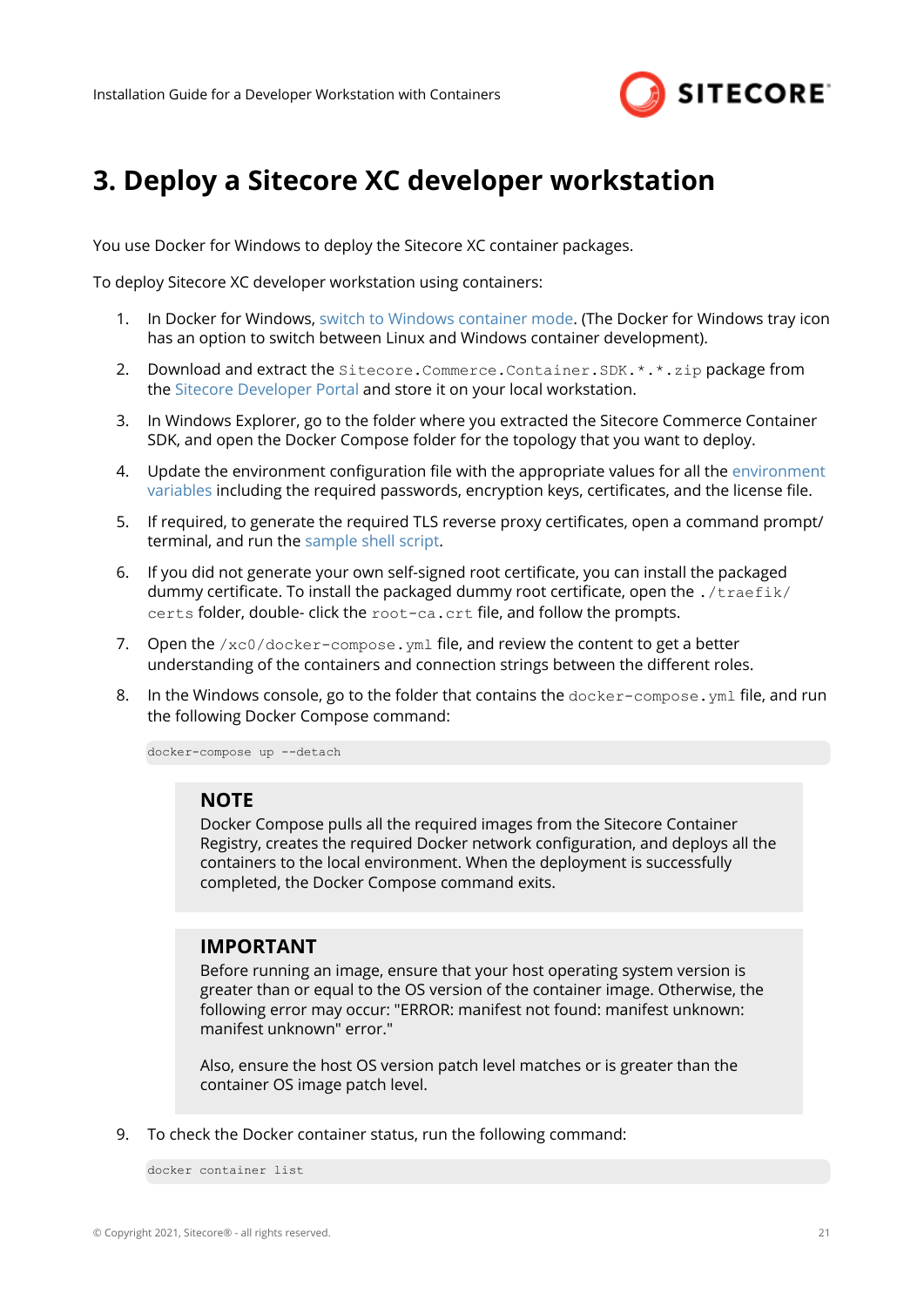

# <span id="page-20-0"></span>**3. Deploy a Sitecore XC developer workstation**

You use Docker for Windows to deploy the Sitecore XC container packages.

To deploy Sitecore XC developer workstation using containers:

- 1. In Docker for Windows, [switch to Windows container mode.](https://docs.docker.com/docker-for-windows/#:~:text=Switch%20between%20Windows%20and%20Linux,Linux%20containers%20(the%20default).) (The Docker for Windows tray icon has an option to switch between Linux and Windows container development).
- 2. Download and extract the Sitecore.Commerce.Container.SDK.\*.\*.zip package from the [Sitecore Developer Portal](https://dev.sitecore.net/Downloads/Sitecore_Commerce/100/Sitecore_Experience_Commerce_100.aspx) and store it on your local workstation.
- 3. In Windows Explorer, go to the folder where you extracted the Sitecore Commerce Container SDK, and open the Docker Compose folder for the topology that you want to deploy.
- 4. Update the [environment](#page-10-0) configuration file with the appropriate values for all the environment [variables](#page-10-0) including the required passwords, encryption keys, certificates, and the license file.
- 5. If required, to generate the required TLS reverse proxy certificates, open a command prompt/ terminal, and run the [sample shell script](#page-17-0).
- 6. If you did not generate your own self-signed root certificate, you can install the packaged dummy certificate. To install the packaged dummy root certificate, open the  $./$ traefik/ certs folder, double- click the root-ca.crt file, and follow the prompts.
- 7. Open the  $/xc0/docker-compose. yml file, and review the content to get a better$ understanding of the containers and connection strings between the different roles.
- 8. In the Windows console, go to the folder that contains the  $down = c$  or  $sum p$  is  $sum p$  if  $l$ e, and run the following Docker Compose command:

docker-compose up --detach

#### **NOTE**

Docker Compose pulls all the required images from the Sitecore Container Registry, creates the required Docker network configuration, and deploys all the containers to the local environment. When the deployment is successfully completed, the Docker Compose command exits.

#### **IMPORTANT**

Before running an image, ensure that your host operating system version is greater than or equal to the OS version of the container image. Otherwise, the following error may occur: "ERROR: manifest not found: manifest unknown: manifest unknown" error."

Also, ensure the host OS version patch level matches or is greater than the container OS image patch level.

9. To check the Docker container status, run the following command:

docker container list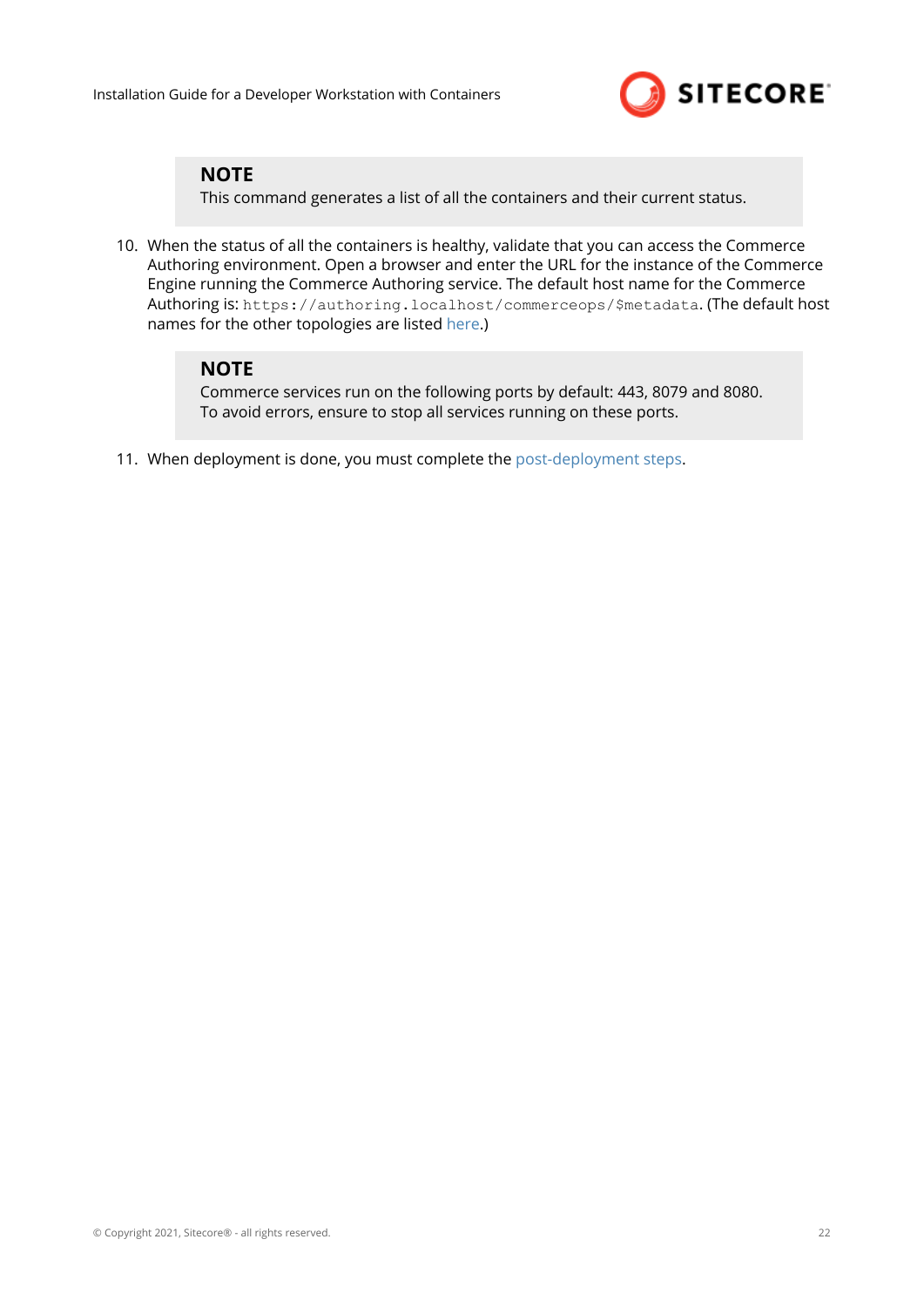

#### **NOTE**

This command generates a list of all the containers and their current status.

10. When the status of all the containers is healthy, validate that you can access the Commerce Authoring environment. Open a browser and enter the URL for the instance of the Commerce Engine running the Commerce Authoring service. The default host name for the Commerce Authoring is: https://authoring.localhost/commerceops/\$metadata. (The default host names for the other topologies are listed [here](#page-19-0).)

#### **NOTE**

Commerce services run on the following ports by default: 443, 8079 and 8080. To avoid errors, ensure to stop all services running on these ports.

11. When deployment is done, you must complete the [post-deployment steps.](#page-22-0)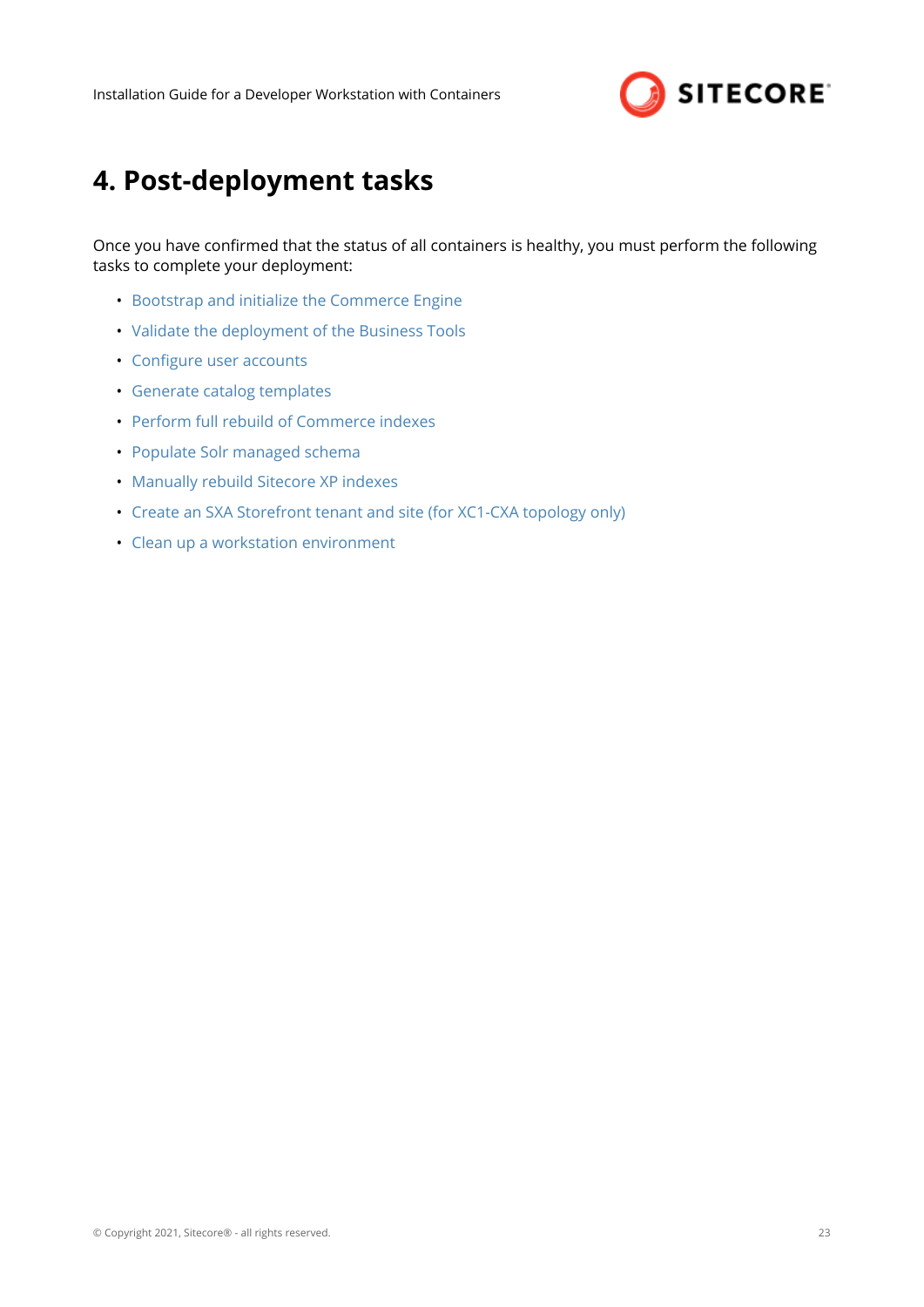

# <span id="page-22-0"></span>**4. Post-deployment tasks**

Once you have confirmed that the status of all containers is healthy, you must perform the following tasks to complete your deployment:

- [Bootstrap and initialize the Commerce Engine](#page-23-0)
- [Validate the deployment of the Business Tools](#page-25-0)
- Configure user accounts
- [Generate catalog templates](#page-27-0)
- [Perform full rebuild of Commerce indexes](#page-28-0)
- Populate Solr managed schema
- Manually rebuild Sitecore XP indexes
- [Create an SXA Storefront tenant and site \(for XC1-CXA topology only\)](#page-29-0)
- [Clean up a workstation environment](#page-30-0)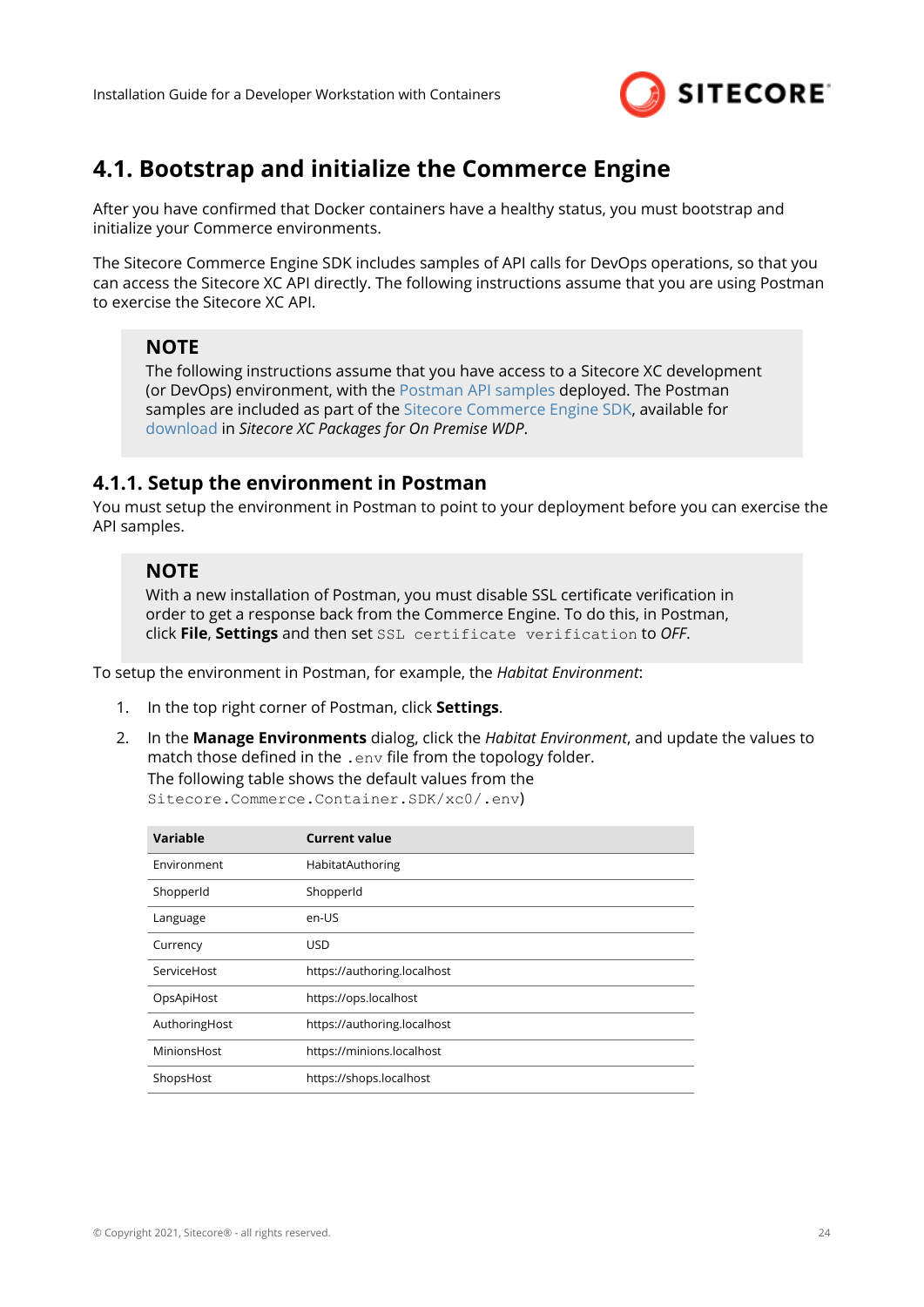

## <span id="page-23-0"></span>**4.1. Bootstrap and initialize the Commerce Engine**

After you have confirmed that Docker containers have a healthy status, you must bootstrap and initialize your Commerce environments.

The Sitecore Commerce Engine SDK includes samples of API calls for DevOps operations, so that you can access the Sitecore XC API directly. The following instructions assume that you are using Postman to exercise the Sitecore XC API.

#### **NOTE**

The following instructions assume that you have access to a Sitecore XC development (or DevOps) environment, with the [Postman API samples](https://doc.sitecore.com/developers/100/sitecore-experience-commerce/en/execute-sample-api-calls-in-postman.html) deployed. The Postman samples are included as part of the [Sitecore Commerce Engine SDK](https://doc.sitecore.com/developers/100/sitecore-experience-commerce/en/sitecore-commerce-engine-sdk.html), available for [download](https://dev.sitecore.net/Downloads/Sitecore_Commerce/100/Sitecore_Experience_Commerce_100.aspx) in *Sitecore XC Packages for On Premise WDP*.

#### **4.1.1. Setup the environment in Postman**

You must setup the environment in Postman to point to your deployment before you can exercise the API samples.

#### **NOTE**

With a new installation of Postman, you must disable SSL certificate verification in order to get a response back from the Commerce Engine. To do this, in Postman, click **File**, **Settings** and then set SSL certificate verification to *OFF*.

To setup the environment in Postman, for example, the *Habitat Environment*:

- 1. In the top right corner of Postman, click **Settings**.
- 2. In the **Manage Environments** dialog, click the *Habitat Environment*, and update the values to match those defined in the  $.$  env file from the topology folder.

The following table shows the default values from the

Sitecore.Commerce.Container.SDK/xc0/.env)

| Variable      | <b>Current value</b>        |
|---------------|-----------------------------|
| Environment   | HabitatAuthoring            |
| ShopperId     | ShopperId                   |
| Language      | en-US                       |
| Currency      | <b>USD</b>                  |
| ServiceHost   | https://authoring.localhost |
| OpsApiHost    | https://ops.localhost       |
| AuthoringHost | https://authoring.localhost |
| MinionsHost   | https://minions.localhost   |
| ShopsHost     | https://shops.localhost     |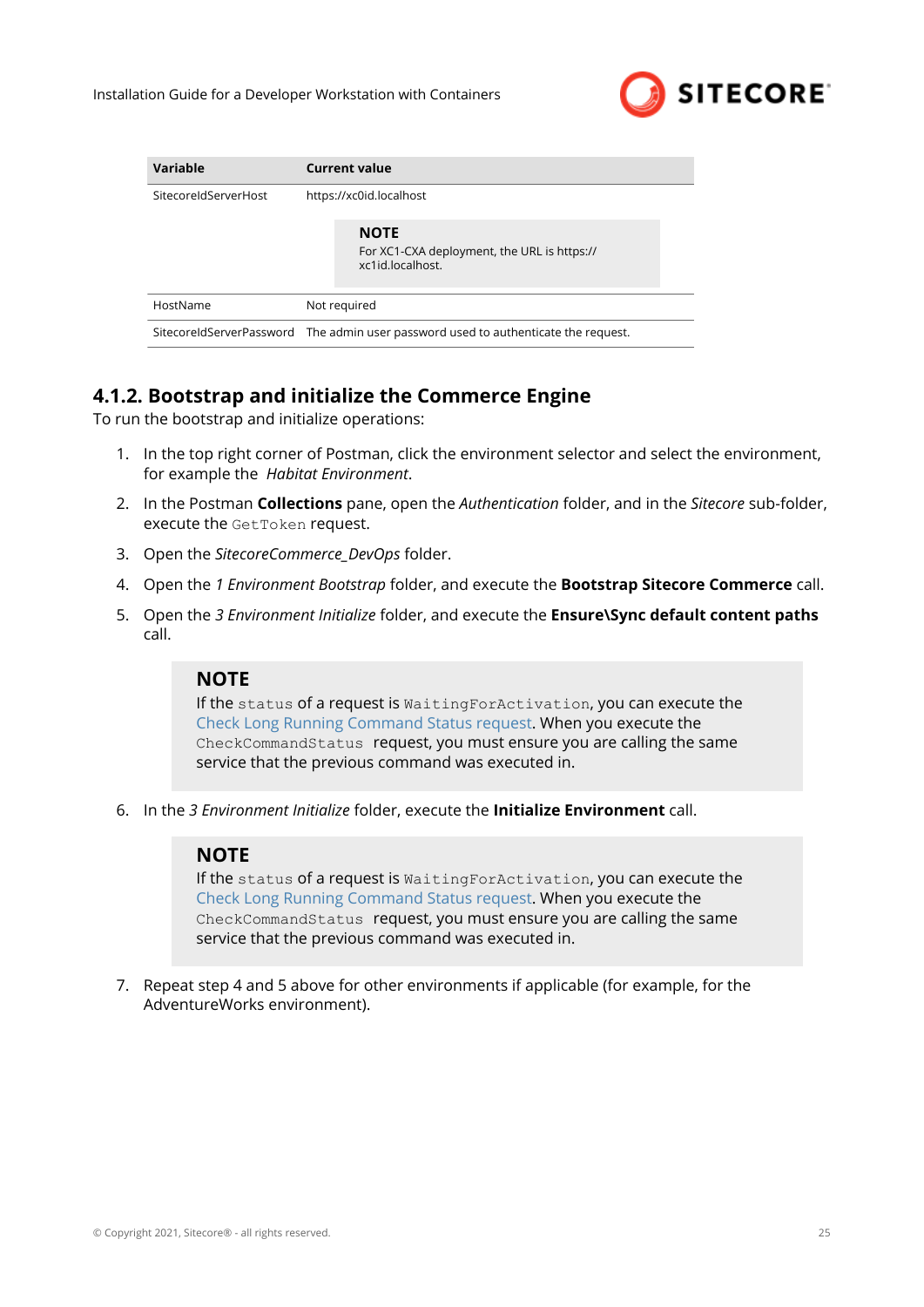

<span id="page-24-0"></span>

| Variable             | <b>Current value</b>                                                               |  |  |
|----------------------|------------------------------------------------------------------------------------|--|--|
| SitecoreIdServerHost | https://xc0id.localhost                                                            |  |  |
|                      | <b>NOTE</b><br>For XC1-CXA deployment, the URL is https://<br>xc1id.localhost.     |  |  |
| HostName             | Not required                                                                       |  |  |
|                      | SitecoreIdServerPassword The admin user password used to authenticate the request. |  |  |

## **4.1.2. Bootstrap and initialize the Commerce Engine**

To run the bootstrap and initialize operations:

- 1. In the top right corner of Postman, click the environment selector and select the environment, for example the *Habitat Environment*.
- 2. In the Postman **Collections** pane, open the *Authentication* folder, and in the *Sitecore* sub-folder, execute the GetToken request.
- 3. Open the *SitecoreCommerce\_DevOps* folder.
- 4. Open the *1 Environment Bootstrap* folder, and execute the **Bootstrap Sitecore Commerce** call.
- 5. Open the *3 Environment Initialize* folder, and execute the **Ensure\Sync default content paths** call.

### **NOTE**

If the status of a request is WaitingForActivation, you can execute the [Check Long Running Command Status request.](https://doc.sitecore.com/developers/100/sitecore-experience-commerce/en/check-the-status-of-a-long-running-command.html) When you execute the CheckCommandStatus request, you must ensure you are calling the same service that the previous command was executed in.

6. In the *3 Environment Initialize* folder, execute the **Initialize Environment** call.

#### **NOTE**

If the status of a request is WaitingForActivation, you can execute the [Check Long Running Command Status request.](https://doc.sitecore.com/developers/100/sitecore-experience-commerce/en/check-the-status-of-a-long-running-command.html) When you execute the CheckCommandStatus request, you must ensure you are calling the same service that the previous command was executed in.

7. Repeat step 4 and 5 above for other environments if applicable (for example, for the AdventureWorks environment).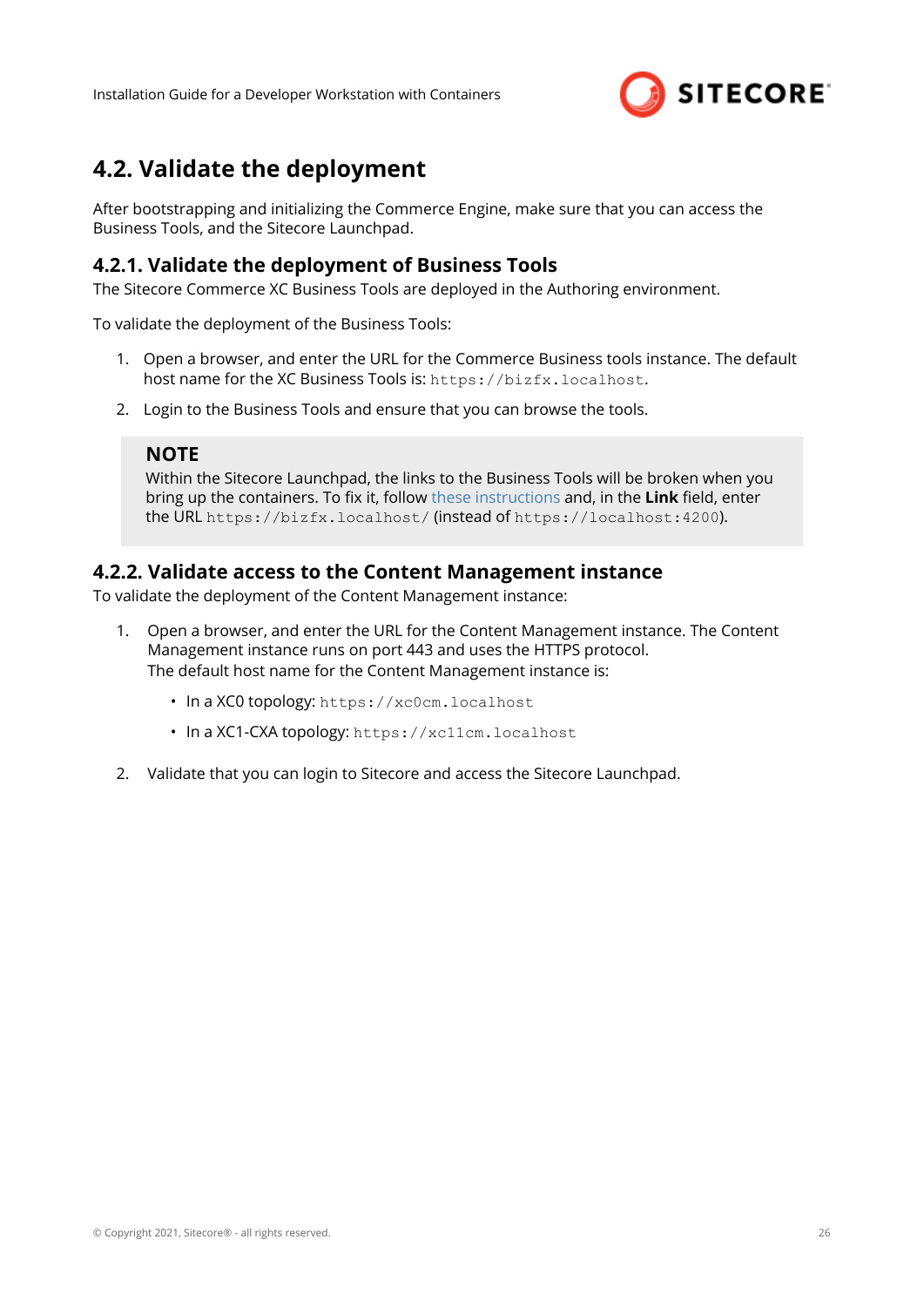

# <span id="page-25-0"></span>**4.2. Validate the deployment**

After bootstrapping and initializing the Commerce Engine, make sure that you can access the Business Tools, and the Sitecore Launchpad.

#### **4.2.1. Validate the deployment of Business Tools**

The Sitecore Commerce XC Business Tools are deployed in the Authoring environment.

To validate the deployment of the Business Tools:

- 1. Open a browser, and enter the URL for the Commerce Business tools instance. The default host name for the XC Business Tools is: https://bizfx.localhost.
- 2. Login to the Business Tools and ensure that you can browse the tools.

#### **NOTE**

Within the Sitecore Launchpad, the links to the Business Tools will be broken when you bring up the containers. To fix it, follow [these instructions](https://doc.sitecore.com/developers/100/sitecore-experience-commerce/en/change-the-url-to-the-commerce-business-tools.html) and, in the **Link** field, enter the URL https://bizfx.localhost/ (instead of https://localhost:4200).

#### **4.2.2. Validate access to the Content Management instance**

To validate the deployment of the Content Management instance:

- 1. Open a browser, and enter the URL for the Content Management instance. The Content Management instance runs on port 443 and uses the HTTPS protocol. The default host name for the Content Management instance is:
	- In a XC0 topology: https://xc0cm.localhost
	- In a XC1-CXA topology: https://xc11cm.localhost
- 2. Validate that you can login to Sitecore and access the Sitecore Launchpad.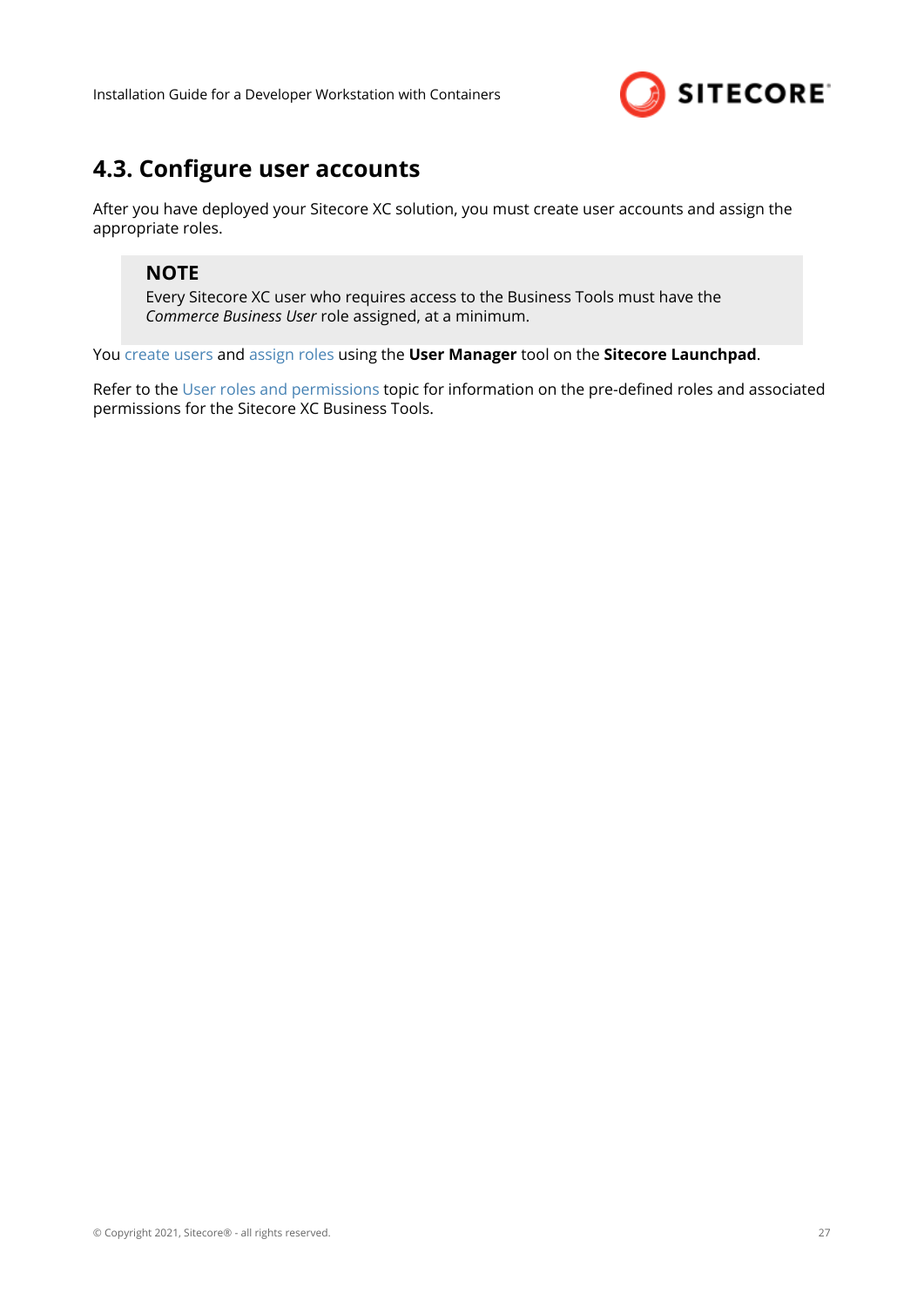

## <span id="page-26-0"></span>**4.3. Configure user accounts**

After you have deployed your Sitecore XC solution, you must create user accounts and assign the appropriate roles.

#### **NOTE**

Every Sitecore XC user who requires access to the Business Tools must have the *Commerce Business User* role assigned, at a minimum.

You [create users](https://doc.sitecore.com/developers/100/platform-administration-and-architecture/en/create-a-user.html) and [assign roles](https://doc.sitecore.com/developers/100/platform-administration-and-architecture/en/add-a-user-to-a-role.html) using the **User Manager** tool on the **Sitecore Launchpad**.

Refer to the [User roles and permissions](https://doc.sitecore.com/developers/100/sitecore-experience-commerce/en/user-roles-and-permissions.html) topic for information on the pre-defined roles and associated permissions for the Sitecore XC Business Tools.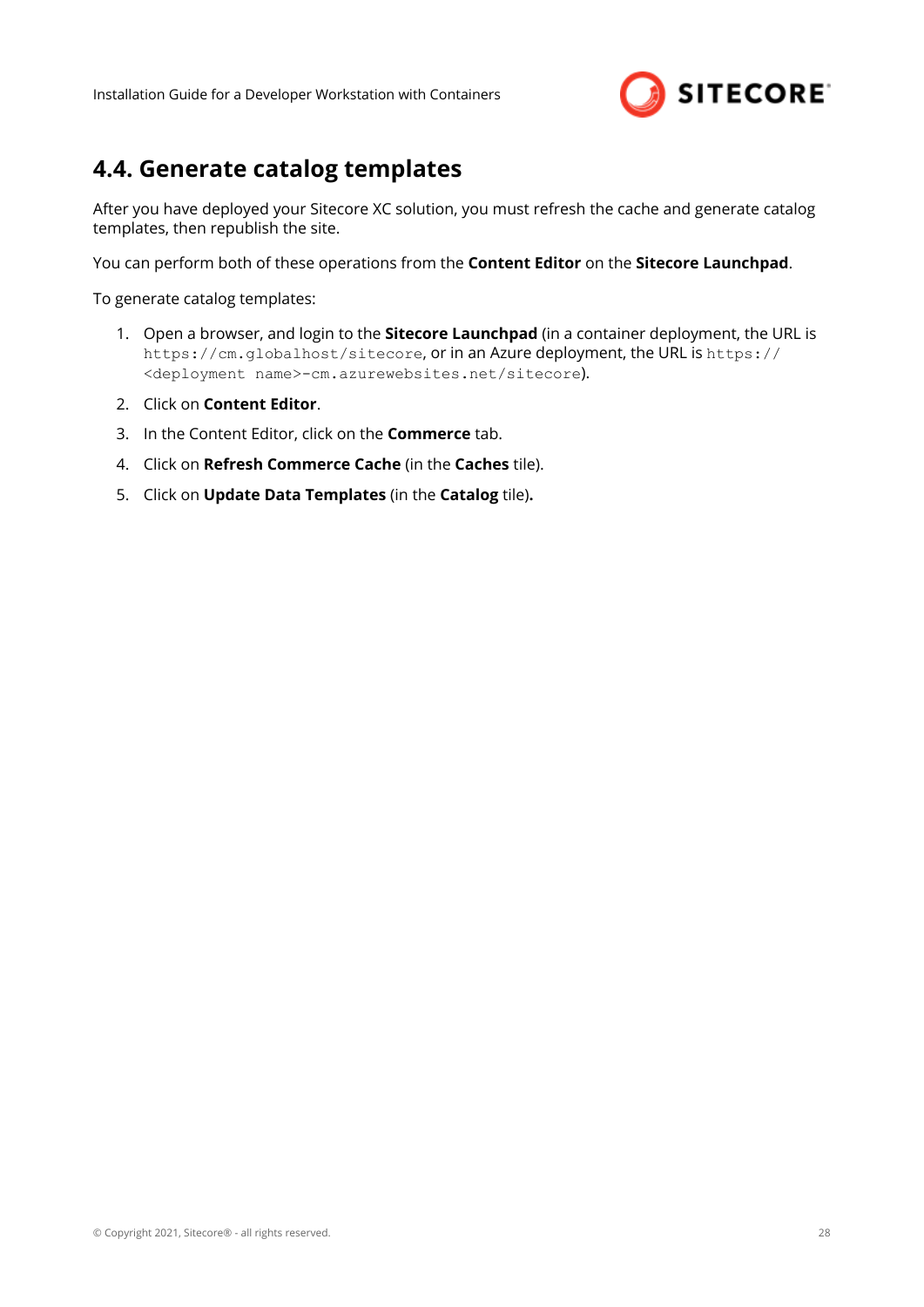

## <span id="page-27-0"></span>**4.4. Generate catalog templates**

After you have deployed your Sitecore XC solution, you must refresh the cache and generate catalog templates, then republish the site.

You can perform both of these operations from the **Content Editor** on the **Sitecore Launchpad**.

To generate catalog templates:

- 1. Open a browser, and login to the **Sitecore Launchpad** (in a container deployment, the URL is https://cm.globalhost/sitecore, or in an Azure deployment, the URL is https:// <deployment name>-cm.azurewebsites.net/sitecore).
- 2. Click on **Content Editor**.
- 3. In the Content Editor, click on the **Commerce** tab.
- 4. Click on **Refresh Commerce Cache** (in the **Caches** tile).
- 5. Click on **Update Data Templates** (in the **Catalog** tile)**.**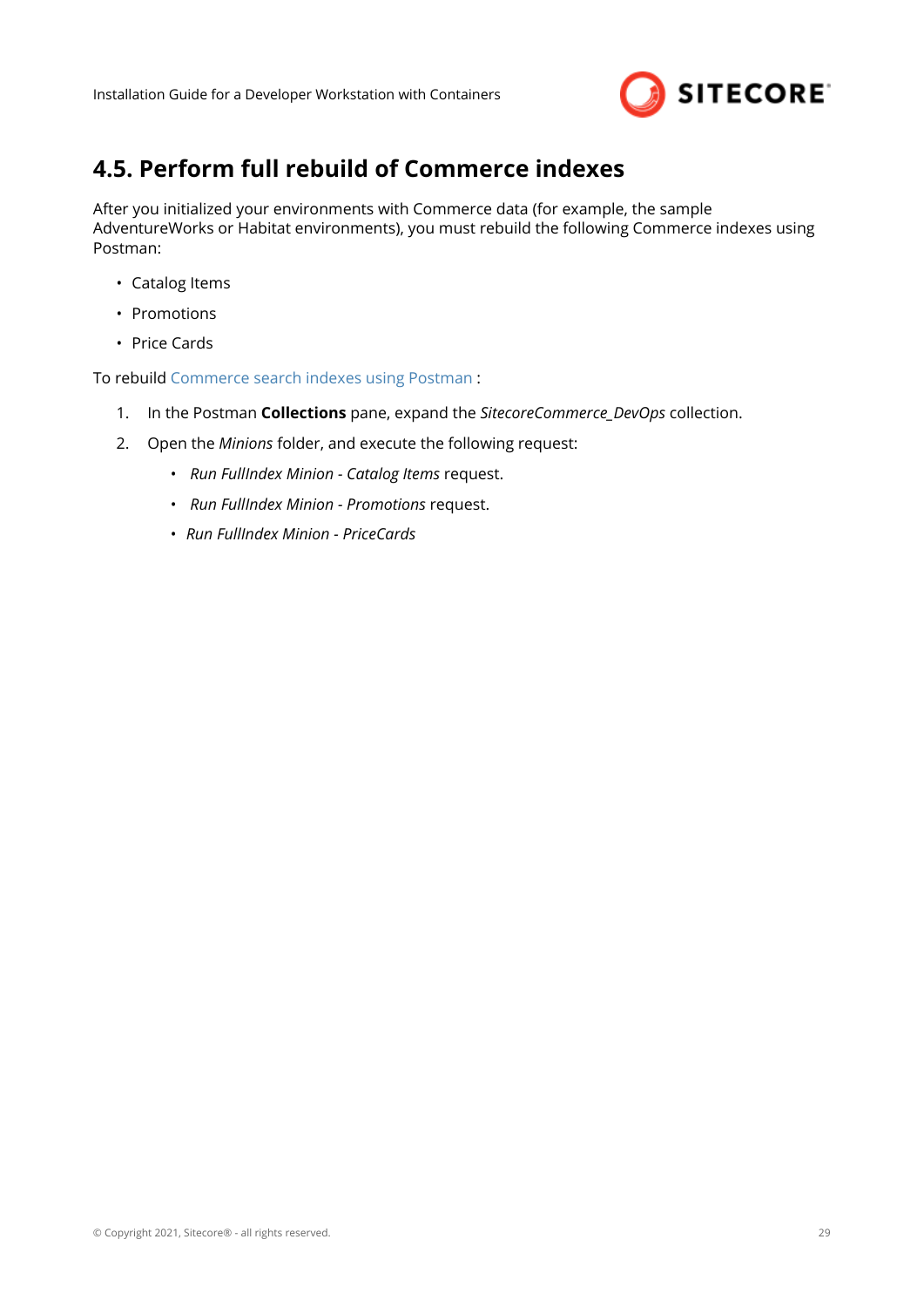

## <span id="page-28-0"></span>**4.5. Perform full rebuild of Commerce indexes**

After you initialized your environments with Commerce data (for example, the sample AdventureWorks or Habitat environments), you must rebuild the following Commerce indexes using Postman:

- Catalog Items
- Promotions
- Price Cards

To rebuild [Commerce search indexes using Postman](https://doc.sitecore.com/developers/100/sitecore-experience-commerce/en/rebuild-a-commerce-search-index-using-postman.html) :

- 1. In the Postman **Collections** pane, expand the *SitecoreCommerce\_DevOps* collection.
- 2. Open the *Minions* folder, and execute the following request:
	- *Run FullIndex Minion Catalog Items* request.
	- *Run FullIndex Minion Promotions* request.
	- *Run FullIndex Minion PriceCards*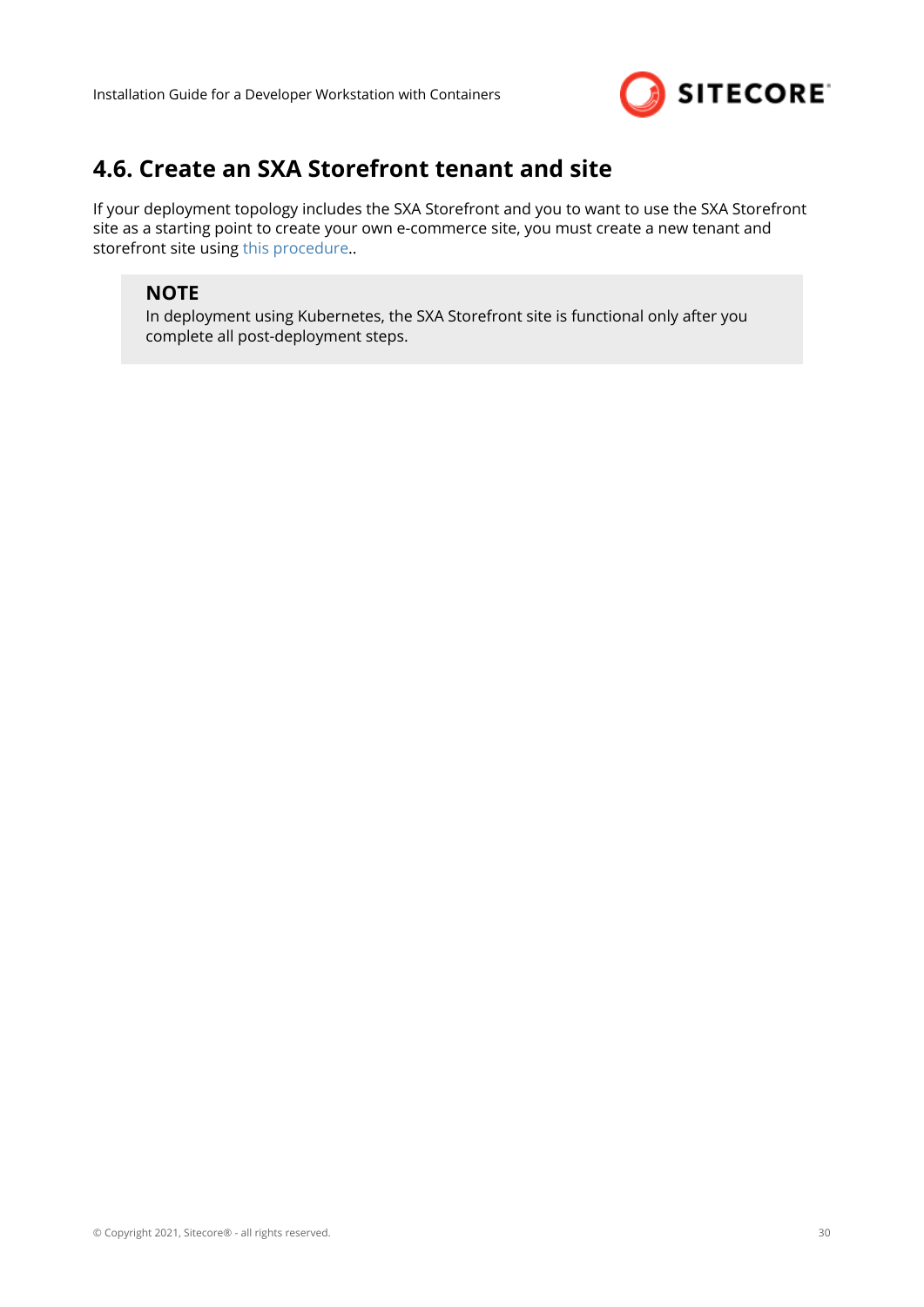

## <span id="page-29-0"></span>**4.6. Create an SXA Storefront tenant and site**

If your deployment topology includes the SXA Storefront and you to want to use the SXA Storefront site as a starting point to create your own e-commerce site, you must create a new tenant and storefront site using [this procedure.](https://doc.sitecore.com/developers/100/sitecore-experience-commerce/en/create-a-commerce-tenant-and-site.html).

### **NOTE**

In deployment using Kubernetes, the SXA Storefront site is functional only after you complete all post-deployment steps.